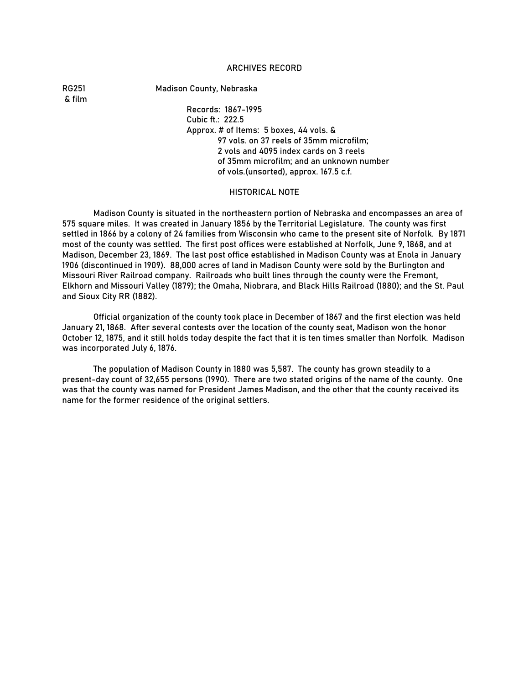### ARCHIVES RECORD

& film

RG251 Madison County, Nebraska

Records: 1867-1995 Cubic ft.: 222.5 Approx. # of Items: 5 boxes, 44 vols. & 97 vols. on 37 reels of 35mm microfilm; 2 vols and 4095 index cards on 3 reels of 35mm microfilm; and an unknown number of vols.(unsorted), approx. 167.5 c.f.

#### HISTORICAL NOTE

Madison County is situated in the northeastern portion of Nebraska and encompasses an area of 575 square miles. It was created in January 1856 by the Territorial Legislature. The county was first settled in 1866 by a colony of 24 families from Wisconsin who came to the present site of Norfolk. By 1871 most of the county was settled. The first post offices were established at Norfolk, June 9, 1868, and at Madison, December 23, 1869. The last post office established in Madison County was at Enola in January 1906 (discontinued in 1909). 88,000 acres of land in Madison County were sold by the Burlington and Missouri River Railroad company. Railroads who built lines through the county were the Fremont, Elkhorn and Missouri Valley (1879); the Omaha, Niobrara, and Black Hills Railroad (1880); and the St. Paul and Sioux City RR (1882).

Official organization of the county took place in December of 1867 and the first election was held January 21, 1868. After several contests over the location of the county seat, Madison won the honor October 12, 1875, and it still holds today despite the fact that it is ten times smaller than Norfolk. Madison was incorporated July 6, 1876.

The population of Madison County in 1880 was 5,587. The county has grown steadily to a present-day count of 32,655 persons (1990). There are two stated origins of the name of the county. One was that the county was named for President James Madison, and the other that the county received its name for the former residence of the original settlers.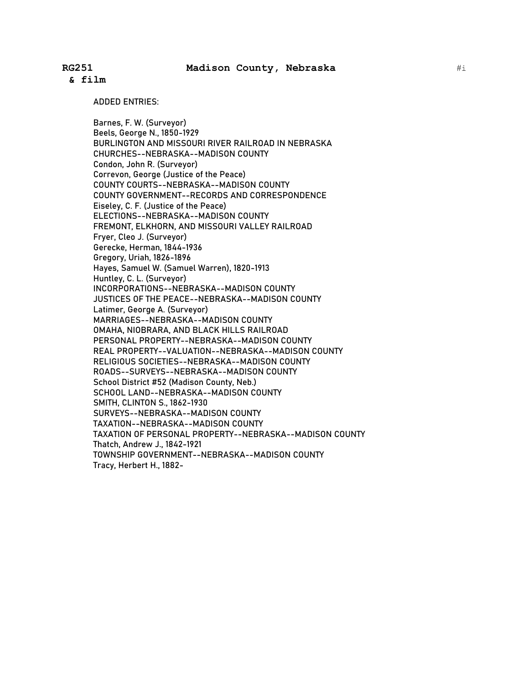ADDED ENTRIES:

Barnes, F. W. (Surveyor) Beels, George N., 1850-1929 BURLINGTON AND MISSOURI RIVER RAILROAD IN NEBRASKA CHURCHES--NEBRASKA--MADISON COUNTY Condon, John R. (Surveyor) Correvon, George (Justice of the Peace) COUNTY COURTS--NEBRASKA--MADISON COUNTY COUNTY GOVERNMENT--RECORDS AND CORRESPONDENCE Eiseley, C. F. (Justice of the Peace) ELECTIONS--NEBRASKA--MADISON COUNTY FREMONT, ELKHORN, AND MISSOURI VALLEY RAILROAD Fryer, Cleo J. (Surveyor) Gerecke, Herman, 1844-1936 Gregory, Uriah, 1826-1896 Hayes, Samuel W. (Samuel Warren), 1820-1913 Huntley, C. L. (Surveyor) INCORPORATIONS--NEBRASKA--MADISON COUNTY JUSTICES OF THE PEACE--NEBRASKA--MADISON COUNTY Latimer, George A. (Surveyor) MARRIAGES--NEBRASKA--MADISON COUNTY OMAHA, NIOBRARA, AND BLACK HILLS RAILROAD PERSONAL PROPERTY--NEBRASKA--MADISON COUNTY REAL PROPERTY--VALUATION--NEBRASKA--MADISON COUNTY RELIGIOUS SOCIETIES--NEBRASKA--MADISON COUNTY ROADS--SURVEYS--NEBRASKA--MADISON COUNTY School District #52 (Madison County, Neb.) SCHOOL LAND--NEBRASKA--MADISON COUNTY SMITH, CLINTON S., 1862-1930 SURVEYS--NEBRASKA--MADISON COUNTY TAXATION--NEBRASKA--MADISON COUNTY TAXATION OF PERSONAL PROPERTY--NEBRASKA--MADISON COUNTY Thatch, Andrew J., 1842-1921 TOWNSHIP GOVERNMENT--NEBRASKA--MADISON COUNTY Tracy, Herbert H., 1882-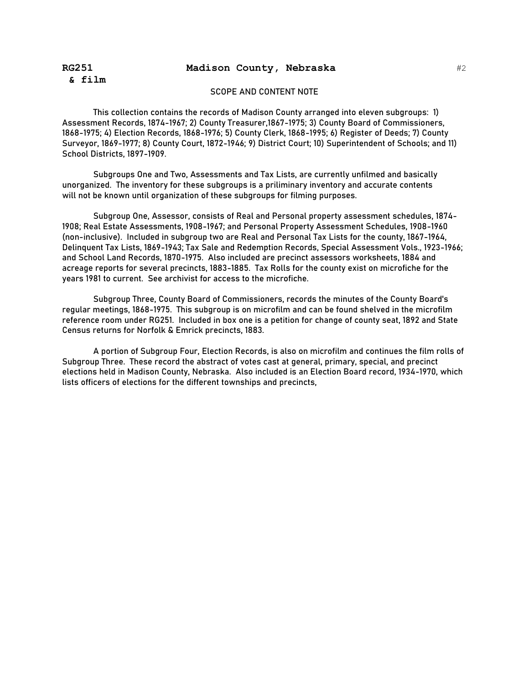# **RG251 Madison County, Nebraska**

### SCOPE AND CONTENT NOTE

This collection contains the records of Madison County arranged into eleven subgroups: 1) Assessment Records, 1874-1967; 2) County Treasurer,1867-1975; 3) County Board of Commissioners, 1868-1975; 4) Election Records, 1868-1976; 5) County Clerk, 1868-1995; 6) Register of Deeds; 7) County Surveyor, 1869-1977; 8) County Court, 1872-1946; 9) District Court; 10) Superintendent of Schools; and 11) School Districts, 1897-1909.

Subgroups One and Two, Assessments and Tax Lists, are currently unfilmed and basically unorganized. The inventory for these subgroups is a priliminary inventory and accurate contents will not be known until organization of these subgroups for filming purposes.

Subgroup One, Assessor, consists of Real and Personal property assessment schedules, 1874- 1908; Real Estate Assessments, 1908-1967; and Personal Property Assessment Schedules, 1908-1960 (non-inclusive). Included in subgroup two are Real and Personal Tax Lists for the county, 1867-1964, Delinquent Tax Lists, 1869-1943; Tax Sale and Redemption Records, Special Assessment Vols., 1923-1966; and School Land Records, 1870-1975. Also included are precinct assessors worksheets, 1884 and acreage reports for several precincts, 1883-1885. Tax Rolls for the county exist on microfiche for the years 1981 to current. See archivist for access to the microfiche.

Subgroup Three, County Board of Commissioners, records the minutes of the County Board's regular meetings, 1868-1975. This subgroup is on microfilm and can be found shelved in the microfilm reference room under RG251. Included in box one is a petition for change of county seat, 1892 and State Census returns for Norfolk & Emrick precincts, 1883.

A portion of Subgroup Four, Election Records, is also on microfilm and continues the film rolls of Subgroup Three. These record the abstract of votes cast at general, primary, special, and precinct elections held in Madison County, Nebraska. Also included is an Election Board record, 1934-1970, which lists officers of elections for the different townships and precincts,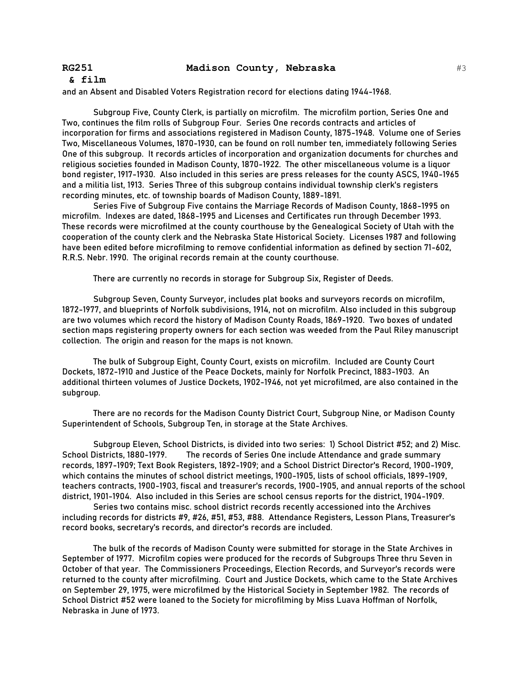#### **& film**

and an Absent and Disabled Voters Registration record for elections dating 1944-1968.

Subgroup Five, County Clerk, is partially on microfilm. The microfilm portion, Series One and Two, continues the film rolls of Subgroup Four. Series One records contracts and articles of incorporation for firms and associations registered in Madison County, 1875-1948. Volume one of Series Two, Miscellaneous Volumes, 1870-1930, can be found on roll number ten, immediately following Series One of this subgroup. It records articles of incorporation and organization documents for churches and religious societies founded in Madison County, 1870-1922. The other miscellaneous volume is a liquor bond register, 1917-1930. Also included in this series are press releases for the county ASCS, 1940-1965 and a militia list, 1913. Series Three of this subgroup contains individual township clerk's registers recording minutes, etc. of township boards of Madison County, 1889-1891.

Series Five of Subgroup Five contains the Marriage Records of Madison County, 1868-1995 on microfilm. Indexes are dated, 1868-1995 and Licenses and Certificates run through December 1993. These records were microfilmed at the county courthouse by the Genealogical Society of Utah with the cooperation of the county clerk and the Nebraska State Historical Society. Licenses 1987 and following have been edited before microfilming to remove confidential information as defined by section 71-602, R.R.S. Nebr. 1990. The original records remain at the county courthouse.

There are currently no records in storage for Subgroup Six, Register of Deeds.

Subgroup Seven, County Surveyor, includes plat books and surveyors records on microfilm, 1872-1977, and blueprints of Norfolk subdivisions, 1914, not on microfilm. Also included in this subgroup are two volumes which record the history of Madison County Roads, 1869-1920. Two boxes of undated section maps registering property owners for each section was weeded from the Paul Riley manuscript collection. The origin and reason for the maps is not known.

The bulk of Subgroup Eight, County Court, exists on microfilm. Included are County Court Dockets, 1872-1910 and Justice of the Peace Dockets, mainly for Norfolk Precinct, 1883-1903. An additional thirteen volumes of Justice Dockets, 1902-1946, not yet microfilmed, are also contained in the subgroup.

There are no records for the Madison County District Court, Subgroup Nine, or Madison County Superintendent of Schools, Subgroup Ten, in storage at the State Archives.

Subgroup Eleven, School Districts, is divided into two series: 1) School District #52; and 2) Misc. School Districts, 1880-1979. The records of Series One include Attendance and grade summary records, 1897-1909; Text Book Registers, 1892-1909; and a School District Director's Record, 1900-1909, which contains the minutes of school district meetings, 1900-1905, lists of school officials, 1899-1909, teachers contracts, 1900-1903, fiscal and treasurer's records, 1900-1905, and annual reports of the school district, 1901-1904. Also included in this Series are school census reports for the district, 1904-1909.

Series two contains misc. school district records recently accessioned into the Archives including records for districts #9, #26, #51, #53, #88. Attendance Registers, Lesson Plans, Treasurer's record books, secretary's records, and director's records are included.

The bulk of the records of Madison County were submitted for storage in the State Archives in September of 1977. Microfilm copies were produced for the records of Subgroups Three thru Seven in October of that year. The Commissioners Proceedings, Election Records, and Surveyor's records were returned to the county after microfilming. Court and Justice Dockets, which came to the State Archives on September 29, 1975, were microfilmed by the Historical Society in September 1982. The records of School District #52 were loaned to the Society for microfilming by Miss Luava Hoffman of Norfolk, Nebraska in June of 1973.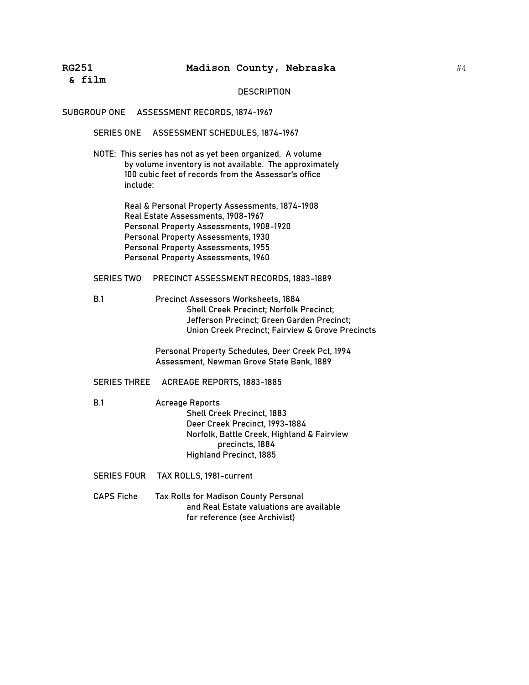#### **DESCRIPTION**

#### SUBGROUP ONE ASSESSMENT RECORDS, 1874-1967

SERIES ONE ASSESSMENT SCHEDULES, 1874-1967

NOTE: This series has not as yet been organized. A volume by volume inventory is not available. The approximately 100 cubic feet of records from the Assessor's office include:

> Real & Personal Property Assessments, 1874-1908 Real Estate Assessments, 1908-1967 Personal Property Assessments, 1908-1920 Personal Property Assessments, 1930 Personal Property Assessments, 1955 Personal Property Assessments, 1960

### SERIES TWO PRECINCT ASSESSMENT RECORDS, 1883-1889

B.1 Precinct Assessors Worksheets, 1884 Shell Creek Precinct; Norfolk Precinct; Jefferson Precinct; Green Garden Precinct; Union Creek Precinct; Fairview & Grove Precincts

> Personal Property Schedules, Deer Creek Pct, 1994 Assessment, Newman Grove State Bank, 1889

### SERIES THREE ACREAGE REPORTS, 1883-1885

- B.1 Acreage Reports Shell Creek Precinct, 1883 Deer Creek Precinct, 1993-1884 Norfolk, Battle Creek, Highland & Fairview precincts, 1884 Highland Precinct, 1885
- SERIES FOUR TAX ROLLS, 1981-current
- CAPS Fiche Tax Rolls for Madison County Personal and Real Estate valuations are available for reference (see Archivist)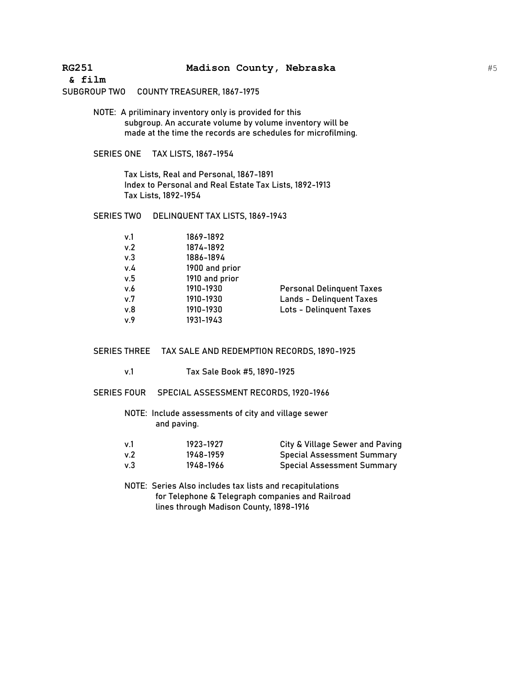**& film**

# SUBGROUP TWO COUNTY TREASURER, 1867-1975

NOTE: A priliminary inventory only is provided for this subgroup. An accurate volume by volume inventory will be made at the time the records are schedules for microfilming.

### SERIES ONE TAX LISTS, 1867-1954

Tax Lists, Real and Personal, 1867-1891 Index to Personal and Real Estate Tax Lists, 1892-1913 Tax Lists, 1892-1954

### SERIES TWO DELINQUENT TAX LISTS, 1869-1943

| v.1 | 1869-1892      |                                  |
|-----|----------------|----------------------------------|
| v.2 | 1874-1892      |                                  |
| v.3 | 1886-1894      |                                  |
| v.4 | 1900 and prior |                                  |
| v.5 | 1910 and prior |                                  |
| v.6 | 1910-1930      | <b>Personal Delinquent Taxes</b> |
| v.7 | 1910-1930      | <b>Lands - Delinguent Taxes</b>  |
| v.8 | 1910-1930      | <b>Lots - Delinguent Taxes</b>   |
| v.9 | 1931-1943      |                                  |
|     |                |                                  |

SERIES THREE TAX SALE AND REDEMPTION RECORDS, 1890-1925

- v.1 Tax Sale Book #5, 1890-1925
- SERIES FOUR SPECIAL ASSESSMENT RECORDS, 1920-1966

NOTE: Include assessments of city and village sewer and paving.

| v.1 | 1923-1927 | City & Village Sewer and Paving   |
|-----|-----------|-----------------------------------|
| v.2 | 1948-1959 | <b>Special Assessment Summary</b> |
| v.3 | 1948–1966 | Special Assessment Summary        |

NOTE: Series Also includes tax lists and recapitulations for Telephone & Telegraph companies and Railroad lines through Madison County, 1898-1916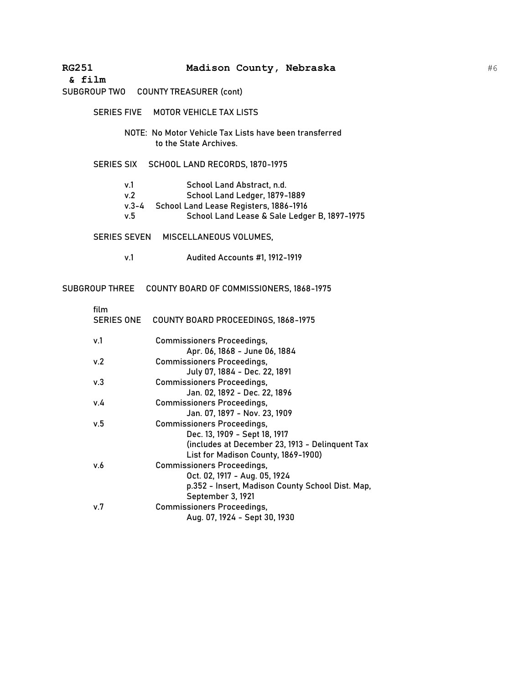**& film**

# SUBGROUP TWO COUNTY TREASURER (cont)

|                                | SERIES FIVE MOTOR VEHICLE TAX LISTS                                                                                                                   |
|--------------------------------|-------------------------------------------------------------------------------------------------------------------------------------------------------|
|                                | NOTE: No Motor Vehicle Tax Lists have been transferred<br>to the State Archives.                                                                      |
|                                | SERIES SIX SCHOOL LAND RECORDS, 1870-1975                                                                                                             |
| v.1<br>v.2<br>$v.3 - 4$<br>v.5 | School Land Abstract, n.d.<br>School Land Ledger, 1879-1889<br>School Land Lease Registers, 1886-1916<br>School Land Lease & Sale Ledger B, 1897-1975 |
| <b>SERIES SEVEN</b>            | MISCELLANEOUS VOLUMES,                                                                                                                                |
| v.1                            | Audited Accounts #1, 1912-1919                                                                                                                        |

SUBGROUP THREE COUNTY BOARD OF COMMISSIONERS, 1868-1975

| film | SERIES ONE COUNTY BOARD PROCEEDINGS, 1868-1975   |
|------|--------------------------------------------------|
| v.1  | <b>Commissioners Proceedings,</b>                |
|      | Apr. 06, 1868 - June 06, 1884                    |
| v.2  | <b>Commissioners Proceedings,</b>                |
|      | July 07, 1884 - Dec. 22, 1891                    |
| v.3  | <b>Commissioners Proceedings,</b>                |
|      | Jan. 02, 1892 - Dec. 22, 1896                    |
| v.4  | <b>Commissioners Proceedings,</b>                |
|      | Jan. 07, 1897 - Nov. 23, 1909                    |
| v.5  | <b>Commissioners Proceedings,</b>                |
|      | Dec. 13, 1909 - Sept 18, 1917                    |
|      | (includes at December 23, 1913 - Delinquent Tax  |
|      | List for Madison County, 1869-1900)              |
| v.6  | <b>Commissioners Proceedings,</b>                |
|      | Oct. 02, 1917 - Aug. 05, 1924                    |
|      | p.352 - Insert, Madison County School Dist. Map, |
|      | September 3, 1921                                |
| v.7  | <b>Commissioners Proceedings,</b>                |
|      | Aug. 07, 1924 - Sept 30, 1930                    |
|      |                                                  |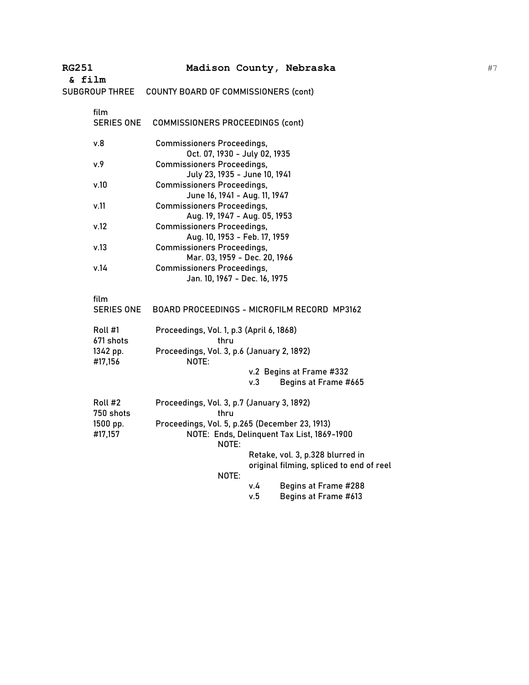| <b>RG251</b><br>& film    | Madison County, Nebraska                                           |            |                                                                              |  |
|---------------------------|--------------------------------------------------------------------|------------|------------------------------------------------------------------------------|--|
| <b>SUBGROUP THREE</b>     | COUNTY BOARD OF COMMISSIONERS (cont)                               |            |                                                                              |  |
| film<br><b>SERIES ONE</b> | <b>COMMISSIONERS PROCEEDINGS (cont)</b>                            |            |                                                                              |  |
| v.8                       | <b>Commissioners Proceedings,</b><br>Oct. 07, 1930 - July 02, 1935 |            |                                                                              |  |
| v.9                       | <b>Commissioners Proceedings,</b><br>July 23, 1935 - June 10, 1941 |            |                                                                              |  |
| v.10                      | <b>Commissioners Proceedings,</b><br>June 16, 1941 - Aug. 11, 1947 |            |                                                                              |  |
| v.11                      | <b>Commissioners Proceedings,</b><br>Aug. 19, 1947 - Aug. 05, 1953 |            |                                                                              |  |
| v.12                      | <b>Commissioners Proceedings,</b><br>Aug. 10, 1953 - Feb. 17, 1959 |            |                                                                              |  |
| v.13                      | <b>Commissioners Proceedings,</b><br>Mar. 03, 1959 - Dec. 20, 1966 |            |                                                                              |  |
| v.14                      | <b>Commissioners Proceedings,</b><br>Jan. 10, 1967 - Dec. 16, 1975 |            |                                                                              |  |
| film<br>SERIES ONE        | BOARD PROCEEDINGS - MICROFILM RECORD MP3162                        |            |                                                                              |  |
| Roll #1<br>671 shots      | Proceedings, Vol. 1, p.3 (April 6, 1868)<br>thru                   |            |                                                                              |  |
| 1342 pp.<br>#17,156       | Proceedings, Vol. 3, p.6 (January 2, 1892)<br>NOTE:                |            |                                                                              |  |
|                           |                                                                    | v.3        | v.2 Begins at Frame #332<br>Begins at Frame #665                             |  |
| Roll #2<br>750 shots      | Proceedings, Vol. 3, p.7 (January 3, 1892)<br>thru                 |            |                                                                              |  |
| 1500 pp.<br>#17,157       | Proceedings, Vol. 5, p.265 (December 23, 1913)<br>NOTE:            |            | NOTE: Ends, Delinquent Tax List, 1869-1900                                   |  |
|                           |                                                                    |            | Retake, vol. 3, p.328 blurred in<br>original filming, spliced to end of reel |  |
|                           | NOTE:                                                              | v.4<br>v.5 | Begins at Frame #288<br>Begins at Frame #613                                 |  |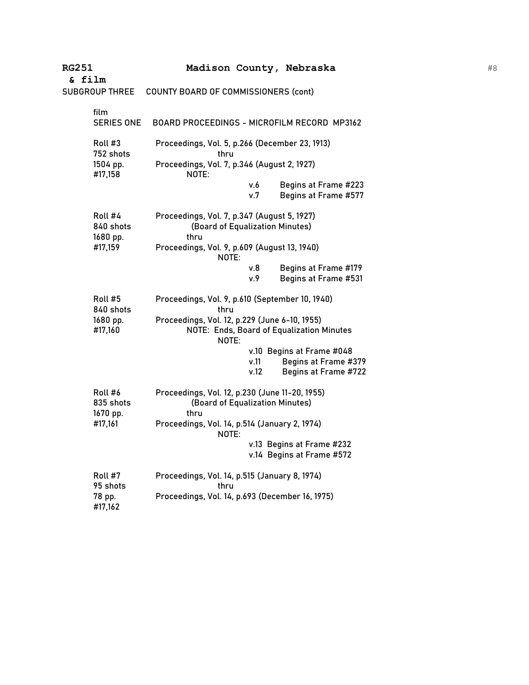| <b>RG251</b>                     | Madison County, Nebraska                                                                            |
|----------------------------------|-----------------------------------------------------------------------------------------------------|
| & film                           |                                                                                                     |
| <b>SUBGROUP THREE</b>            | COUNTY BOARD OF COMMISSIONERS (cont)                                                                |
| film<br><b>SERIES ONE</b>        | BOARD PROCEEDINGS - MICROFILM RECORD MP3162                                                         |
| Roll #3<br>752 shots             | Proceedings, Vol. 5, p.266 (December 23, 1913)<br>thru                                              |
| 1504 pp.<br>#17,158              | Proceedings, Vol. 7, p.346 (August 2, 1927)<br>NOTE:                                                |
|                                  | v.6<br>Begins at Frame #223<br>v.7<br>Begins at Frame #577                                          |
| Roll #4<br>840 shots<br>1680 pp. | Proceedings, Vol. 7, p.347 (August 5, 1927)<br>(Board of Equalization Minutes)<br>thru              |
| #17,159                          | Proceedings, Vol. 9, p.609 (August 13, 1940)<br>NOTE:                                               |
|                                  | Begins at Frame #179<br>v.8<br>v.9<br>Begins at Frame #531                                          |
| Roll #5<br>840 shots             | Proceedings, Vol. 9, p.610 (September 10, 1940)<br>thru                                             |
| 1680 pp.<br>#17,160              | Proceedings, Vol. 12, p.229 (June 6-10, 1955)<br>NOTE: Ends, Board of Equalization Minutes<br>NOTE: |
|                                  | v.10 Begins at Frame #048<br>v.11<br>Begins at Frame #379<br>v.12<br>Begins at Frame #722           |
| Roll #6<br>835 shots<br>1670 pp. | Proceedings, Vol. 12, p.230 (June 11-20, 1955)<br>(Board of Equalization Minutes)<br>thru           |
| #17,161                          | Proceedings, Vol. 14, p.514 (January 2, 1974)<br>NOTE:                                              |
|                                  | v.13 Begins at Frame #232<br>v.14 Begins at Frame #572                                              |
| Roll #7<br>95 shots              | Proceedings, Vol. 14, p.515 (January 8, 1974)<br>thru                                               |
| 78 pp.<br>#17,162                | Proceedings, Vol. 14, p.693 (December 16, 1975)                                                     |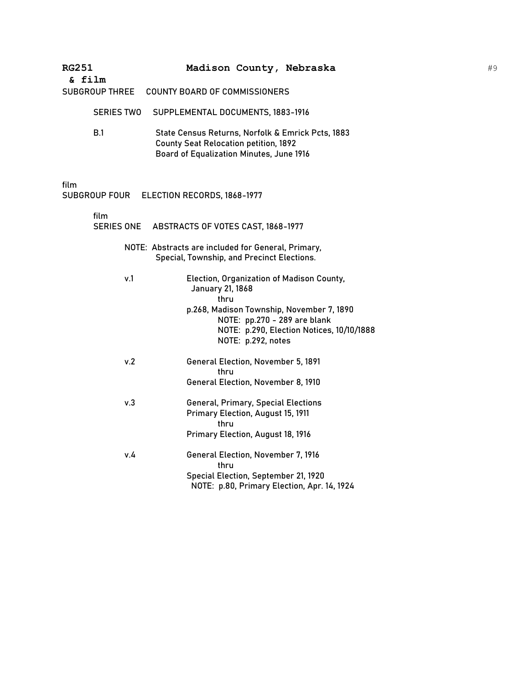| <b>RG251</b><br>& film |                   |                                                                                                                                               |                                                                                                               | Madison County, Nebraska                                                                                                            |
|------------------------|-------------------|-----------------------------------------------------------------------------------------------------------------------------------------------|---------------------------------------------------------------------------------------------------------------|-------------------------------------------------------------------------------------------------------------------------------------|
| SUBGROUP THREE         |                   | <b>COUNTY BOARD OF COMMISSIONERS</b>                                                                                                          |                                                                                                               |                                                                                                                                     |
|                        | <b>SERIES TWO</b> | SUPPLEMENTAL DOCUMENTS, 1883-1916                                                                                                             |                                                                                                               |                                                                                                                                     |
| <b>B.1</b>             |                   | State Census Returns, Norfolk & Emrick Pcts, 1883<br><b>County Seat Relocation petition, 1892</b><br>Board of Equalization Minutes, June 1916 |                                                                                                               |                                                                                                                                     |
| film<br>SUBGROUP FOUR  |                   | ELECTION RECORDS, 1868-1977                                                                                                                   |                                                                                                               |                                                                                                                                     |
| film                   | SERIES ONE        | ABSTRACTS OF VOTES CAST, 1868-1977                                                                                                            |                                                                                                               |                                                                                                                                     |
|                        |                   | NOTE: Abstracts are included for General, Primary,<br>Special, Township, and Precinct Elections.                                              |                                                                                                               |                                                                                                                                     |
|                        | v.1               | January 21, 1868<br>thru                                                                                                                      | NOTE: pp.270 - 289 are blank<br>NOTE: p.292, notes                                                            | Election, Organization of Madison County,<br>p.268, Madison Township, November 7, 1890<br>NOTE: p.290, Election Notices, 10/10/1888 |
|                        | v.2               | thru                                                                                                                                          | General Election, November 5, 1891<br>General Election, November 8, 1910                                      |                                                                                                                                     |
|                        | v.3               | thru                                                                                                                                          | General, Primary, Special Elections<br>Primary Election, August 15, 1911<br>Primary Election, August 18, 1916 |                                                                                                                                     |
|                        | v.4               | thru                                                                                                                                          | General Election, November 7, 1916<br>Special Election, September 21, 1920                                    | NOTE: p.80, Primary Election, Apr. 14, 1924                                                                                         |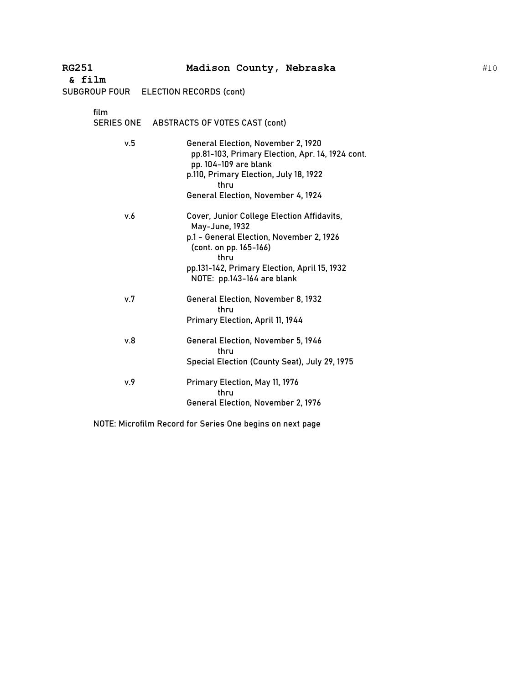| & film |                                           |
|--------|-------------------------------------------|
|        | $CIDCDOID FOID = FI FCTION DFCODDC (c.1)$ |

| film | SERIES ONE ABSTRACTS OF VOTES CAST (cont)                                                                                                                                                               |
|------|---------------------------------------------------------------------------------------------------------------------------------------------------------------------------------------------------------|
| v.5  | General Election, November 2, 1920<br>pp.81-103, Primary Election, Apr. 14, 1924 cont.<br>pp. 104-109 are blank<br>p.110, Primary Election, July 18, 1922<br>thru<br>General Election, November 4, 1924 |
|      |                                                                                                                                                                                                         |
| v.6  | Cover, Junior College Election Affidavits,<br>May-June, 1932<br>p.1 - General Election, November 2, 1926<br>(cont. on pp. 165-166)                                                                      |
|      | thru<br>pp.131-142, Primary Election, April 15, 1932<br>NOTE: pp.143-164 are blank                                                                                                                      |
| v.7  | <b>General Election, November 8, 1932</b><br>thru                                                                                                                                                       |
|      | Primary Election, April 11, 1944                                                                                                                                                                        |
| v.8  | General Election, November 5, 1946<br>thru                                                                                                                                                              |
|      | Special Election (County Seat), July 29, 1975                                                                                                                                                           |
| v.9  | Primary Election, May 11, 1976<br>thru                                                                                                                                                                  |
|      | General Election, November 2, 1976                                                                                                                                                                      |

NOTE: Microfilm Record for Series One begins on next page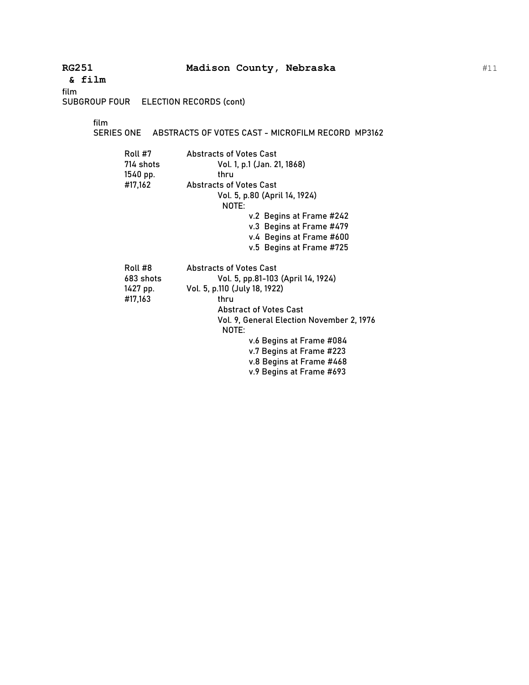**& film**

film

SUBGROUP FOUR ELECTION RECORDS (cont)

film

SERIES ONE ABSTRACTS OF VOTES CAST - MICROFILM RECORD MP3162

| Roll #7<br>714 shots<br>1540 pp. | <b>Abstracts of Votes Cast</b><br>Vol. 1, p.1 (Jan. 21, 1868)<br>thru |  |
|----------------------------------|-----------------------------------------------------------------------|--|
| #17,162                          | <b>Abstracts of Votes Cast</b>                                        |  |
|                                  | Vol. 5, p.80 (April 14, 1924)                                         |  |
|                                  | NOTE:                                                                 |  |
|                                  | v.2 Begins at Frame #242                                              |  |
|                                  | v.3 Begins at Frame #479                                              |  |
|                                  | v.4 Begins at Frame #600                                              |  |
|                                  | v.5 Begins at Frame #725                                              |  |
| Roll #8                          | <b>Abstracts of Votes Cast</b>                                        |  |
| 683 shots                        | Vol. 5, pp.81-103 (April 14, 1924)                                    |  |
| 1427 pp.                         | Vol. 5, p.110 (July 18, 1922)                                         |  |
| #17,163                          | thru                                                                  |  |
|                                  | <b>Abstract of Votes Cast</b>                                         |  |
|                                  | Vol. 9, General Election November 2, 1976                             |  |
|                                  | NOTE:                                                                 |  |
|                                  | v.6 Begins at Frame #084                                              |  |
|                                  | v.7 Begins at Frame #223                                              |  |
|                                  | v.8 Begins at Frame #468                                              |  |
|                                  | v.9 Begins at Frame #693                                              |  |
|                                  |                                                                       |  |

#11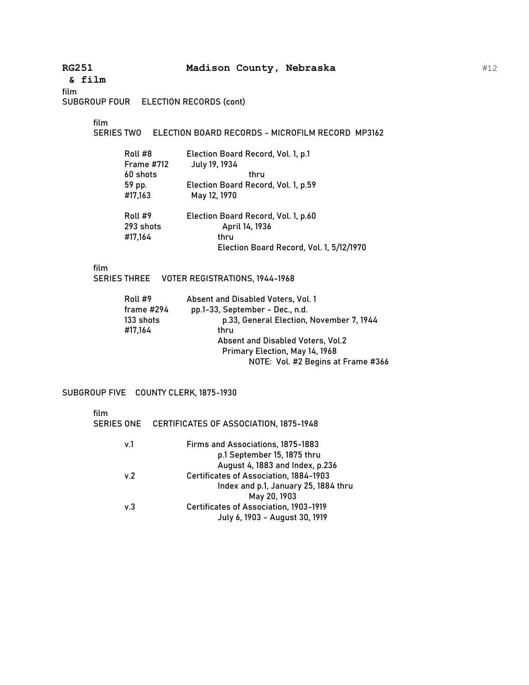**& film**

film

SUBGROUP FOUR ELECTION RECORDS (cont)

film

SERIES TWO ELECTION BOARD RECORDS - MICROFILM RECORD MP3162

| Roll #8<br><b>Frame #712</b> | Election Board Record, Vol. 1, p.1<br>July 19, 1934 |
|------------------------------|-----------------------------------------------------|
| 60 shots                     | thru                                                |
| 59 pp.                       | Election Board Record, Vol. 1, p.59                 |
| #17,163                      | May 12, 1970                                        |
| Roll #9                      | Election Board Record, Vol. 1, p.60                 |
| 293 shots                    | April 14, 1936                                      |
| #17,164                      | thru                                                |
|                              | Election Board Record, Vol. 1, 5/12/1970            |

film

SERIES THREE VOTER REGISTRATIONS, 1944-1968

| Roll #9    | Absent and Disabled Voters, Vol. 1       |
|------------|------------------------------------------|
| frame #294 | pp.1-33, September - Dec., n.d.          |
| 133 shots  | p.33, General Election, November 7, 1944 |
| #17,164    | thru                                     |
|            | Absent and Disabled Voters, Vol.2        |
|            | Primary Election, May 14, 1968           |
|            | NOTE: Vol. #2 Begins at Frame #366       |
|            |                                          |

SUBGROUP FIVE COUNTY CLERK, 1875-1930

| film              |                                               |
|-------------------|-----------------------------------------------|
| <b>SERIES ONE</b> | <b>CERTIFICATES OF ASSOCIATION, 1875-1948</b> |
| v.1               | Firms and Associations, 1875-1883             |
|                   | p.1 September 15, 1875 thru                   |
|                   | August 4, 1883 and Index, p.236               |
| v.2               | <b>Certificates of Association, 1884-1903</b> |
|                   | Index and p.1, January 25, 1884 thru          |
|                   | May 20, 1903                                  |
| v.3               | <b>Certificates of Association, 1903-1919</b> |
|                   | July 6, 1903 - August 30, 1919                |
|                   |                                               |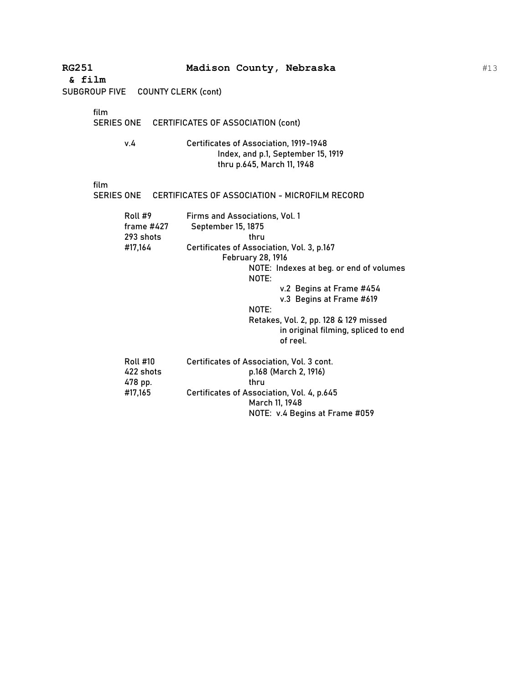| <b>RG251</b><br>& film                             | Madison County, Nebraska                                                                                                                                                                                                                                                                                                                                |
|----------------------------------------------------|---------------------------------------------------------------------------------------------------------------------------------------------------------------------------------------------------------------------------------------------------------------------------------------------------------------------------------------------------------|
| SUBGROUP FIVE COUNTY CLERK (cont)                  |                                                                                                                                                                                                                                                                                                                                                         |
| film<br>v.4                                        | SERIES ONE CERTIFICATES OF ASSOCIATION (cont)<br>Certificates of Association, 1919-1948<br>Index, and p.1, September 15, 1919<br>thru p.645, March 11, 1948                                                                                                                                                                                             |
| film<br><b>SERIES ONE</b>                          | CERTIFICATES OF ASSOCIATION - MICROFILM RECORD                                                                                                                                                                                                                                                                                                          |
| Roll #9<br>frame $#427$<br>293 shots<br>#17,164    | Firms and Associations, Vol. 1<br>September 15, 1875<br>thru<br>Certificates of Association, Vol. 3, p.167<br><b>February 28, 1916</b><br>NOTE: Indexes at beg. or end of volumes<br>NOTE:<br>v.2 Begins at Frame #454<br>v.3 Begins at Frame #619<br>NOTE:<br>Retakes, Vol. 2, pp. 128 & 129 missed<br>in original filming, spliced to end<br>of reel. |
| <b>Roll #10</b><br>422 shots<br>478 pp.<br>#17,165 | Certificates of Association, Vol. 3 cont.<br>p.168 (March 2, 1916)<br>thru<br>Certificates of Association, Vol. 4, p.645<br>March 11, 1948<br>NOTE: v.4 Begins at Frame #059                                                                                                                                                                            |

#13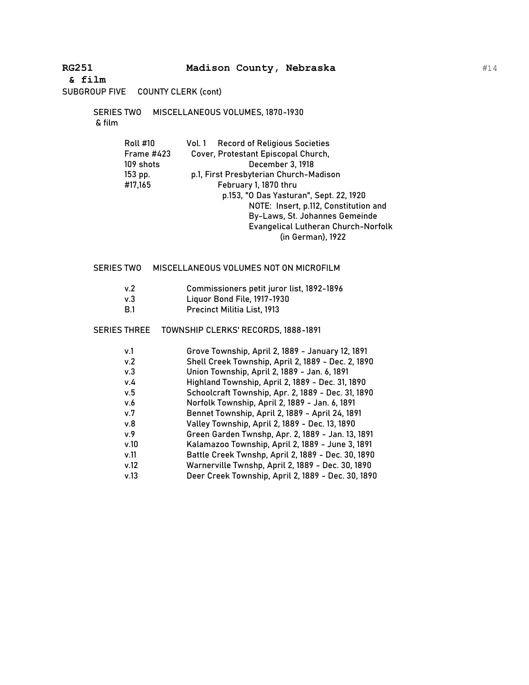**& film**

SUBGROUP FIVE COUNTY CLERK (cont)

SERIES TWO MISCELLANEOUS VOLUMES, 1870-1930 & film

| <b>Roll #10</b> | <b>Record of Religious Societies</b><br>Vol. 1 |
|-----------------|------------------------------------------------|
| Frame #423      | Cover, Protestant Episcopal Church,            |
| 109 shots       | December 3, 1918                               |
| 153 pp.         | p.1, First Presbyterian Church-Madison         |
| #17,165         | February 1, 1870 thru                          |
|                 | p.153, "O Das Yasturan", Sept. 22, 1920        |
|                 | NOTE: Insert, p.112, Constitution and          |
|                 | By-Laws, St. Johannes Gemeinde                 |
|                 | <b>Evangelical Lutheran Church-Norfolk</b>     |
|                 | (in German), 1922                              |

### SERIES TWO MISCELLANEOUS VOLUMES NOT ON MICROFILM

- v.2 Commissioners petit juror list, 1892-1896
- v.3 Liquor Bond File, 1917-1930
- B.1 Precinct Militia List, 1913

### SERIES THREE TOWNSHIP CLERKS' RECORDS, 1888-1891

| v.1 | Grove Township, April 2, 1889 - January 12, 1891 |
|-----|--------------------------------------------------|
|     | ------<br>$\cdots$ $\cdots$ $\cdots$ $\cdots$    |

- v.2 Shell Creek Township, April 2, 1889 Dec. 2, 1890
- v.3 Union Township, April 2, 1889 Jan. 6, 1891
- v.4 Highland Township, April 2, 1889 Dec. 31, 1890 v.5 Schoolcraft Township, Apr. 2, 1889 - Dec. 31, 1890
- v.6 Norfolk Township, April 2, 1889 Jan. 6, 1891
- v.7 Bennet Township, April 2, 1889 April 24, 1891
- v.8 Valley Township, April 2, 1889 Dec. 13, 1890
- v.9 Green Garden Twnshp, Apr. 2, 1889 Jan. 13, 1891
- v.10 Kalamazoo Township, April 2, 1889 June 3, 1891
- v.11 Battle Creek Twnshp, April 2, 1889 Dec. 30, 1890
- v.12 Warnerville Twnshp, April 2, 1889 Dec. 30, 1890
- v.13 Deer Creek Township, April 2, 1889 Dec. 30, 1890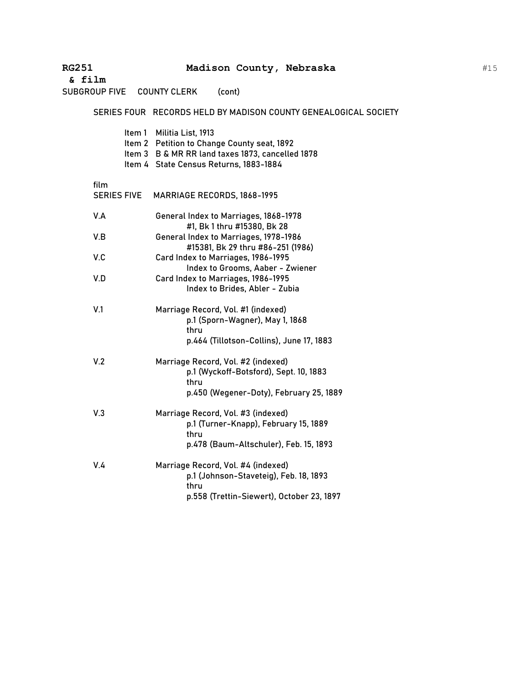**RG251 Madison County, Nebraska & film** SUBGROUP FIVE COUNTY CLERK (cont) SERIES FOUR RECORDS HELD BY MADISON COUNTY GENEALOGICAL SOCIETY Item 1 Militia List, 1913 Item 2 Petition to Change County seat, 1892 Item 3 B & MR RR land taxes 1873, cancelled 1878 Item 4 State Census Returns, 1883-1884 film SERIES FIVE MARRIAGE RECORDS, 1868-1995 V.A General Index to Marriages, 1868-1978 #1, Bk 1 thru #15380, Bk 28 V.B General Index to Marriages, 1978-1986 #15381, Bk 29 thru #86-251 (1986) V.C Card Index to Marriages, 1986-1995 Index to Grooms, Aaber - Zwiener V.D Card Index to Marriages, 1986-1995 Index to Brides, Abler - Zubia V.1 Marriage Record, Vol. #1 (indexed) p.1 (Sporn-Wagner), May 1, 1868 thru p.464 (Tillotson-Collins), June 17, 1883 V.2 Marriage Record, Vol. #2 (indexed) p.1 (Wyckoff-Botsford), Sept. 10, 1883 thru p.450 (Wegener-Doty), February 25, 1889 V.3 Marriage Record, Vol. #3 (indexed) p.1 (Turner-Knapp), February 15, 1889 thru p.478 (Baum-Altschuler), Feb. 15, 1893 V.4 Marriage Record, Vol. #4 (indexed) p.1 (Johnson-Staveteig), Feb. 18, 1893 thru p.558 (Trettin-Siewert), October 23, 1897

#15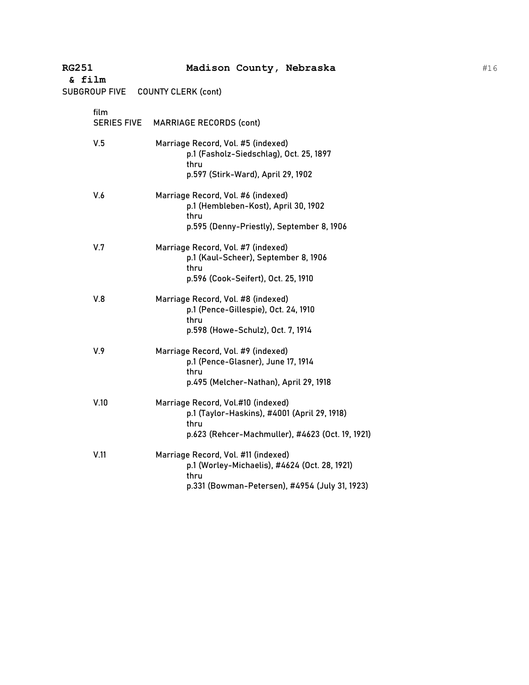| <b>RG251</b><br>& film |                    | Madison County, Nebraska                                                                                                                       |
|------------------------|--------------------|------------------------------------------------------------------------------------------------------------------------------------------------|
|                        |                    | SUBGROUP FIVE COUNTY CLERK (cont)                                                                                                              |
| film                   | <b>SERIES FIVE</b> | <b>MARRIAGE RECORDS (cont)</b>                                                                                                                 |
| V.5                    |                    | Marriage Record, Vol. #5 (indexed)<br>p.1 (Fasholz-Siedschlag), Oct. 25, 1897<br>thru<br>p.597 (Stirk-Ward), April 29, 1902                    |
| V.6                    |                    | Marriage Record, Vol. #6 (indexed)<br>p.1 (Hembleben-Kost), April 30, 1902<br>thru<br>p.595 (Denny-Priestly), September 8, 1906                |
| V.7                    |                    | Marriage Record, Vol. #7 (indexed)<br>p.1 (Kaul-Scheer), September 8, 1906<br>thru<br>p.596 (Cook-Seifert), Oct. 25, 1910                      |
| V.8                    |                    | Marriage Record, Vol. #8 (indexed)<br>p.1 (Pence-Gillespie), Oct. 24, 1910<br>thru<br>p.598 (Howe-Schulz), Oct. 7, 1914                        |
| V.9                    |                    | Marriage Record, Vol. #9 (indexed)<br>p.1 (Pence-Glasner), June 17, 1914<br>thru<br>p.495 (Melcher-Nathan), April 29, 1918                     |
| V.10                   |                    | Marriage Record, Vol.#10 (indexed)<br>p.1 (Taylor-Haskins), #4001 (April 29, 1918)<br>thru<br>p.623 (Rehcer-Machmuller), #4623 (Oct. 19, 1921) |
| V.11                   |                    | Marriage Record, Vol. #11 (indexed)<br>p.1 (Worley-Michaelis), #4624 (Oct. 28, 1921)<br>thru<br>p.331 (Bowman-Petersen), #4954 (July 31, 1923) |

#16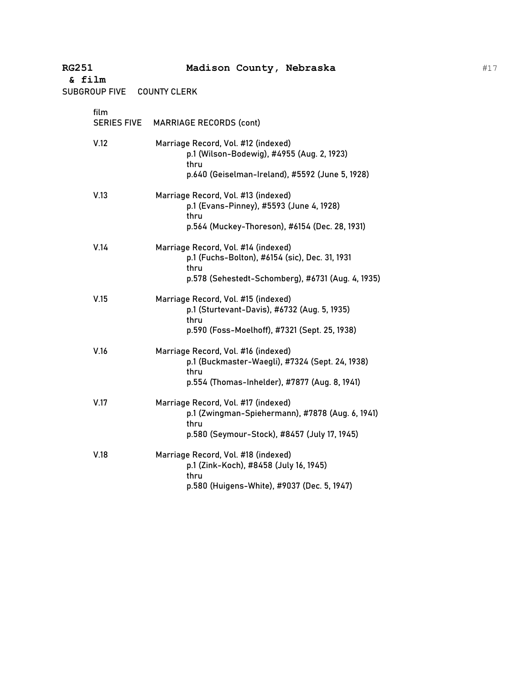SUBGROUP FIVE COUNTY CLERK

| film<br><b>SERIES FIVE</b> | <b>MARRIAGE RECORDS (cont)</b>                                                                                                                     |
|----------------------------|----------------------------------------------------------------------------------------------------------------------------------------------------|
| V.12                       | Marriage Record, Vol. #12 (indexed)<br>p.1 (Wilson-Bodewig), #4955 (Aug. 2, 1923)<br>thru<br>p.640 (Geiselman-Ireland), #5592 (June 5, 1928)       |
| V.13                       | Marriage Record, Vol. #13 (indexed)<br>p.1 (Evans-Pinney), #5593 (June 4, 1928)<br>thru<br>p.564 (Muckey-Thoreson), #6154 (Dec. 28, 1931)          |
| V.14                       | Marriage Record, Vol. #14 (indexed)<br>p.1 (Fuchs-Bolton), #6154 (sic), Dec. 31, 1931<br>thru<br>p.578 (Sehestedt-Schomberg), #6731 (Aug. 4, 1935) |
| V.15                       | Marriage Record, Vol. #15 (indexed)<br>p.1 (Sturtevant-Davis), #6732 (Aug. 5, 1935)<br>thru<br>p.590 (Foss-Moelhoff), #7321 (Sept. 25, 1938)       |
| V.16                       | Marriage Record, Vol. #16 (indexed)<br>p.1 (Buckmaster-Waegli), #7324 (Sept. 24, 1938)<br>thru<br>p.554 (Thomas-Inhelder), #7877 (Aug. 8, 1941)    |
| V.17                       | Marriage Record, Vol. #17 (indexed)<br>p.1 (Zwingman-Spiehermann), #7878 (Aug. 6, 1941)<br>thru<br>p.580 (Seymour-Stock), #8457 (July 17, 1945)    |
| V.18                       | Marriage Record, Vol. #18 (indexed)<br>p.1 (Zink-Koch), #8458 (July 16, 1945)<br>thru<br>p.580 (Huigens-White), #9037 (Dec. 5, 1947)               |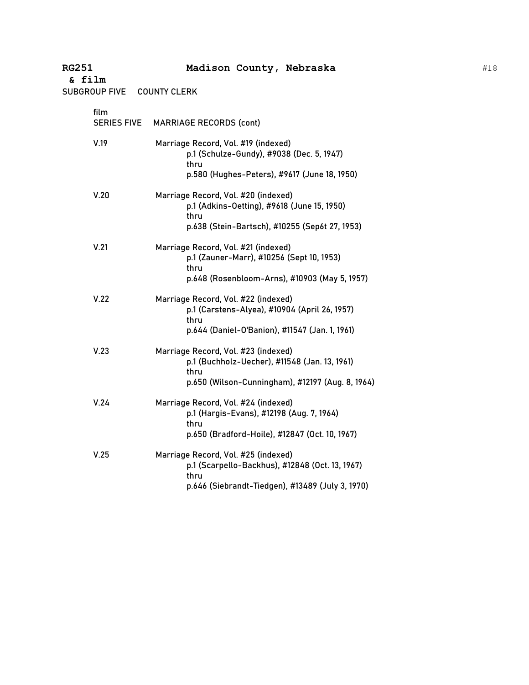SUBGROUP FIVE COUNTY CLERK

| film<br><b>SERIES FIVE</b> | <b>MARRIAGE RECORDS (cont)</b>                                                                                                                     |
|----------------------------|----------------------------------------------------------------------------------------------------------------------------------------------------|
| V.19                       | Marriage Record, Vol. #19 (indexed)<br>p.1 (Schulze-Gundy), #9038 (Dec. 5, 1947)<br>thru<br>p.580 (Hughes-Peters), #9617 (June 18, 1950)           |
| V.20                       | Marriage Record, Vol. #20 (indexed)<br>p.1 (Adkins-Oetting), #9618 (June 15, 1950)<br>thru<br>p.638 (Stein-Bartsch), #10255 (Sep6t 27, 1953)       |
| V.21                       | Marriage Record, Vol. #21 (indexed)<br>p.1 (Zauner-Marr), #10256 (Sept 10, 1953)<br>thru<br>p.648 (Rosenbloom-Arns), #10903 (May 5, 1957)          |
| V.22                       | Marriage Record, Vol. #22 (indexed)<br>p.1 (Carstens-Alyea), #10904 (April 26, 1957)<br>thru<br>p.644 (Daniel-O'Banion), #11547 (Jan. 1, 1961)     |
| V.23                       | Marriage Record, Vol. #23 (indexed)<br>p.1 (Buchholz-Uecher), #11548 (Jan. 13, 1961)<br>thru<br>p.650 (Wilson-Cunningham), #12197 (Aug. 8, 1964)   |
| V.24                       | Marriage Record, Vol. #24 (indexed)<br>p.1 (Hargis-Evans), #12198 (Aug. 7, 1964)<br>thru<br>p.650 (Bradford-Hoile), #12847 (Oct. 10, 1967)         |
| V.25                       | Marriage Record, Vol. #25 (indexed)<br>p.1 (Scarpello-Backhus), #12848 (Oct. 13, 1967)<br>thru<br>p.646 (Siebrandt-Tiedgen), #13489 (July 3, 1970) |
|                            |                                                                                                                                                    |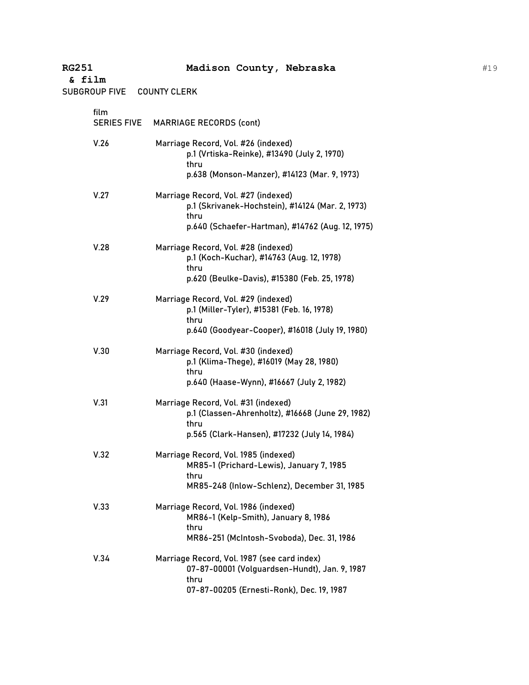SUBGROUP FIVE COUNTY CLERK

| film<br><b>SERIES FIVE</b> | <b>MARRIAGE RECORDS (cont)</b>                                                                                                                      |
|----------------------------|-----------------------------------------------------------------------------------------------------------------------------------------------------|
| V.26                       | Marriage Record, Vol. #26 (indexed)<br>p.1 (Vrtiska-Reinke), #13490 (July 2, 1970)<br>thru<br>p.638 (Monson-Manzer), #14123 (Mar. 9, 1973)          |
| V.27                       | Marriage Record, Vol. #27 (indexed)<br>p.1 (Skrivanek-Hochstein), #14124 (Mar. 2, 1973)<br>thru<br>p.640 (Schaefer-Hartman), #14762 (Aug. 12, 1975) |
| V.28                       | Marriage Record, Vol. #28 (indexed)<br>p.1 (Koch-Kuchar), #14763 (Aug. 12, 1978)<br>thru<br>p.620 (Beulke-Davis), #15380 (Feb. 25, 1978)            |
| V.29                       | Marriage Record, Vol. #29 (indexed)<br>p.1 (Miller-Tyler), #15381 (Feb. 16, 1978)<br>thru<br>p.640 (Goodyear-Cooper), #16018 (July 19, 1980)        |
| V.30                       | Marriage Record, Vol. #30 (indexed)<br>p.1 (Klima-Thege), #16019 (May 28, 1980)<br>thru<br>p.640 (Haase-Wynn), #16667 (July 2, 1982)                |
| V.31                       | Marriage Record, Vol. #31 (indexed)<br>p.1 (Classen-Ahrenholtz), #16668 (June 29, 1982)<br>thru<br>p.565 (Clark-Hansen), #17232 (July 14, 1984)     |
| V.32                       | Marriage Record, Vol. 1985 (indexed)<br>MR85-1 (Prichard-Lewis), January 7, 1985<br>thru<br>MR85-248 (Inlow-Schlenz), December 31, 1985             |
| V.33                       | Marriage Record, Vol. 1986 (indexed)<br>MR86-1 (Kelp-Smith), January 8, 1986<br>thru<br>MR86-251 (McIntosh-Svoboda), Dec. 31, 1986                  |
| V.34                       | Marriage Record, Vol. 1987 (see card index)<br>07-87-00001 (Volguardsen-Hundt), Jan. 9, 1987<br>thru<br>07-87-00205 (Ernesti-Ronk), Dec. 19, 1987   |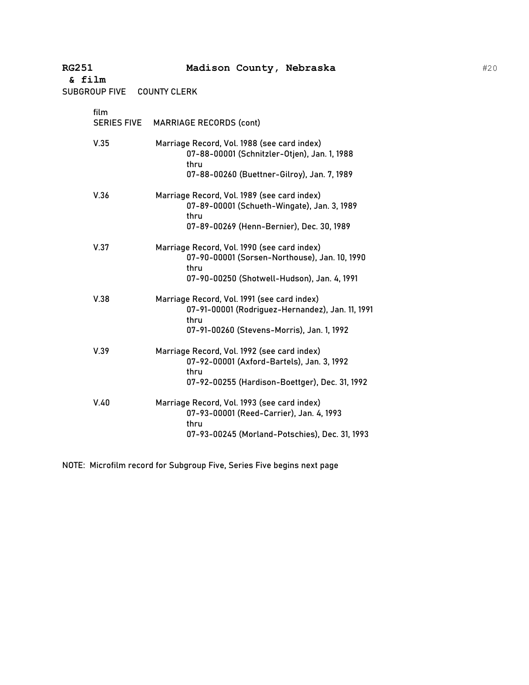SUBGROUP FIVE COUNTY CLERK

| film<br><b>SERIES FIVE</b> | <b>MARRIAGE RECORDS (cont)</b>                                                                                                                        |
|----------------------------|-------------------------------------------------------------------------------------------------------------------------------------------------------|
| V.35                       | Marriage Record, Vol. 1988 (see card index)<br>07-88-00001 (Schnitzler-Otjen), Jan. 1, 1988<br>thru<br>07-88-00260 (Buettner-Gilroy), Jan. 7, 1989    |
| V.36                       | Marriage Record, Vol. 1989 (see card index)<br>07-89-00001 (Schueth-Wingate), Jan. 3, 1989<br>thru<br>07-89-00269 (Henn-Bernier), Dec. 30, 1989       |
| V.37                       | Marriage Record, Vol. 1990 (see card index)<br>07-90-00001 (Sorsen-Northouse), Jan. 10, 1990<br>thru<br>07-90-00250 (Shotwell-Hudson), Jan. 4, 1991   |
| V.38                       | Marriage Record, Vol. 1991 (see card index)<br>07-91-00001 (Rodriguez-Hernandez), Jan. 11, 1991<br>thru<br>07-91-00260 (Stevens-Morris), Jan. 1, 1992 |
| V.39                       | Marriage Record, Vol. 1992 (see card index)<br>07-92-00001 (Axford-Bartels), Jan. 3, 1992<br>thru<br>07-92-00255 (Hardison-Boettger), Dec. 31, 1992   |
| V.40                       | Marriage Record, Vol. 1993 (see card index)<br>07-93-00001 (Reed-Carrier), Jan. 4, 1993<br>thru<br>07-93-00245 (Morland-Potschies), Dec. 31, 1993     |

NOTE: Microfilm record for Subgroup Five, Series Five begins next page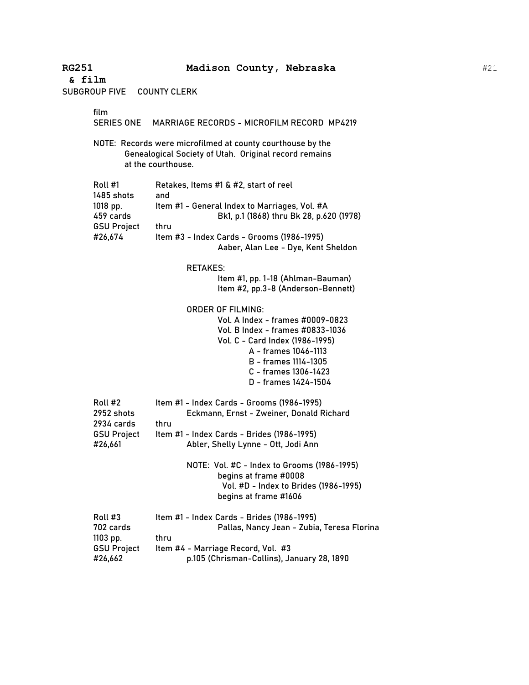**& film** SUBGROUP FIVE COUNTY CLERK film SERIES ONE MARRIAGE RECORDS - MICROFILM RECORD MP4219 NOTE: Records were microfilmed at county courthouse by the Genealogical Society of Utah. Original record remains at the courthouse. Roll #1 Retakes, Items #1 & #2, start of reel 1485 shots and 1018 pp. Item #1 - General Index to Marriages, Vol. #A 459 cards Bk1, p.1 (1868) thru Bk 28, p.620 (1978) GSU Project thru #26,674 Item #3 - Index Cards - Grooms (1986-1995) Aaber, Alan Lee - Dye, Kent Sheldon RETAKES: Item #1, pp. 1-18 (Ahlman-Bauman) Item #2, pp.3-8 (Anderson-Bennett) ORDER OF FILMING: Vol. A Index - frames #0009-0823 Vol. B Index - frames #0833-1036 Vol. C - Card Index (1986-1995) A - frames 1046-1113 B - frames 1114-1305 C - frames 1306-1423 D - frames 1424-1504 Roll #2 Item #1 - Index Cards - Grooms (1986-1995) 2952 shots Eckmann, Ernst - Zweiner, Donald Richard 2934 cards thru GSU Project Item #1 - Index Cards - Brides (1986-1995) #26,661 Abler, Shelly Lynne - Ott, Jodi Ann NOTE: Vol. #C - Index to Grooms (1986-1995) begins at frame #0008 Vol. #D - Index to Brides (1986-1995) begins at frame #1606 Roll #3 Item #1 - Index Cards - Brides (1986-1995) 702 cards Pallas, Nancy Jean - Zubia, Teresa Florina 1103 pp. thru GSU Project Item #4 - Marriage Record, Vol. #3 #26,662 p.105 (Chrisman-Collins), January 28, 1890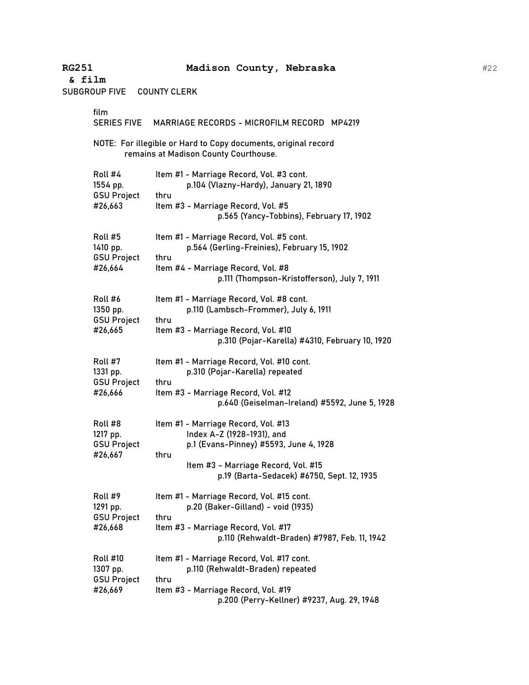| & film<br><b>SUBGROUP FIVE</b> |                                                              | <b>COUNTY CLERK</b>                                                                                                                                                                                      |
|--------------------------------|--------------------------------------------------------------|----------------------------------------------------------------------------------------------------------------------------------------------------------------------------------------------------------|
|                                | film<br><b>SERIES FIVE</b>                                   | MARRIAGE RECORDS - MICROFILM RECORD MP4219                                                                                                                                                               |
|                                |                                                              | NOTE: For illegible or Hard to Copy documents, original record<br>remains at Madison County Courthouse.                                                                                                  |
|                                | Roll #4<br>1554 pp.<br><b>GSU Project</b><br>#26,663         | Item #1 - Marriage Record, Vol. #3 cont.<br>p.104 (Vlazny-Hardy), January 21, 1890<br>thru<br>Item #3 - Marriage Record, Vol. #5<br>p.565 (Yancy-Tobbins), February 17, 1902                             |
|                                | Roll #5<br>1410 pp.<br><b>GSU Project</b><br>#26,664         | Item #1 - Marriage Record, Vol. #5 cont.<br>p.564 (Gerling-Freinies), February 15, 1902<br>thru<br>Item #4 - Marriage Record, Vol. #8<br>p.111 (Thompson-Kristofferson), July 7, 1911                    |
|                                | Roll #6<br>1350 pp.<br><b>GSU Project</b><br>#26,665         | Item #1 - Marriage Record, Vol. #8 cont.<br>p.110 (Lambsch-Frommer), July 6, 1911<br>thru<br>Item #3 - Marriage Record, Vol. #10<br>p.310 (Pojar-Karella) #4310, February 10, 1920                       |
|                                | Roll #7<br>1331 pp.<br><b>GSU Project</b><br>#26,666         | Item #1 - Marriage Record, Vol. #10 cont.<br>p.310 (Pojar-Karella) repeated<br>thru<br>Item #3 - Marriage Record, Vol. #12<br>p.640 (Geiselman-Ireland) #5592, June 5, 1928                              |
|                                | Roll #8<br>1217 pp.<br><b>GSU Project</b><br>#26,667         | Item #1 - Marriage Record, Vol. #13<br>Index A-Z (1928-1931), and<br>p.1 (Evans-Pinney) #5593, June 4, 1928<br>thru<br>Item #3 - Marriage Record, Vol. #15<br>p.19 (Barta-Sedacek) #6750, Sept. 12, 1935 |
|                                | Roll #9<br>1291 pp.<br><b>GSU Project</b><br>#26,668         | Item #1 - Marriage Record, Vol. #15 cont.<br>p.20 (Baker-Gilland) - void (1935)<br>thru<br>Item #3 - Marriage Record, Vol. #17<br>p.110 (Rehwaldt-Braden) #7987, Feb. 11, 1942                           |
|                                | <b>Roll #10</b><br>1307 pp.<br><b>GSU Project</b><br>#26,669 | Item #1 - Marriage Record, Vol. #17 cont.<br>p.110 (Rehwaldt-Braden) repeated<br>thru<br>Item #3 - Marriage Record, Vol. #19<br>p.200 (Perry-Kellner) #9237, Aug. 29, 1948                               |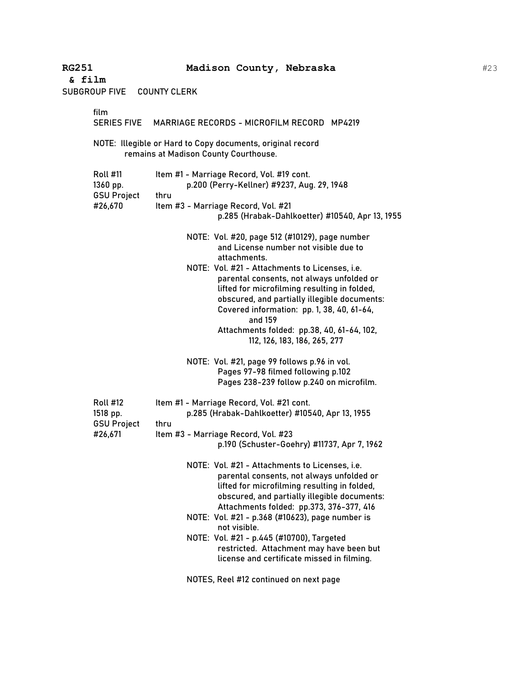| & film |                                                              |                     |                                                                                                                                                                                                                                                                                                                                                                                                                                               |
|--------|--------------------------------------------------------------|---------------------|-----------------------------------------------------------------------------------------------------------------------------------------------------------------------------------------------------------------------------------------------------------------------------------------------------------------------------------------------------------------------------------------------------------------------------------------------|
|        | <b>SUBGROUP FIVE</b>                                         | <b>COUNTY CLERK</b> |                                                                                                                                                                                                                                                                                                                                                                                                                                               |
|        | film<br><b>SERIES FIVE</b>                                   |                     | MARRIAGE RECORDS - MICROFILM RECORD MP4219                                                                                                                                                                                                                                                                                                                                                                                                    |
|        |                                                              |                     | NOTE: Illegible or Hard to Copy documents, original record<br>remains at Madison County Courthouse.                                                                                                                                                                                                                                                                                                                                           |
|        | <b>Roll #11</b><br>1360 pp.<br><b>GSU Project</b><br>#26,670 | thru                | Item #1 - Marriage Record, Vol. #19 cont.<br>p.200 (Perry-Kellner) #9237, Aug. 29, 1948<br>Item #3 - Marriage Record, Vol. #21<br>p.285 (Hrabak-Dahlkoetter) #10540, Apr 13, 1955                                                                                                                                                                                                                                                             |
|        |                                                              |                     | NOTE: Vol. #20, page 512 (#10129), page number<br>and License number not visible due to<br>attachments.<br>NOTE: Vol. #21 - Attachments to Licenses, i.e.<br>parental consents, not always unfolded or<br>lifted for microfilming resulting in folded,<br>obscured, and partially illegible documents:<br>Covered information: pp. 1, 38, 40, 61-64,<br>and 159<br>Attachments folded: pp.38, 40, 61-64, 102,<br>112, 126, 183, 186, 265, 277 |
|        |                                                              |                     | NOTE: Vol. #21, page 99 follows p.96 in vol.<br>Pages 97-98 filmed following p.102<br>Pages 238-239 follow p.240 on microfilm.                                                                                                                                                                                                                                                                                                                |
|        | <b>Roll #12</b><br>1518 pp.<br><b>GSU Project</b><br>#26,671 | thru                | Item #1 - Marriage Record, Vol. #21 cont.<br>p.285 (Hrabak-Dahlkoetter) #10540, Apr 13, 1955<br>Item #3 - Marriage Record, Vol. #23<br>p.190 (Schuster-Goehry) #11737, Apr 7, 1962<br>NOTE: Vol. #21 - Attachments to Licenses, i.e.<br>parental consents, not always unfolded or<br>lifted for microfilming resulting in folded,                                                                                                             |
|        |                                                              |                     | obscured, and partially illegible documents:<br>Attachments folded: pp.373, 376-377, 416<br>NOTE: Vol. #21 - p.368 (#10623), page number is<br>not visible.<br>NOTE: Vol. #21 - p.445 (#10700), Targeted<br>restricted. Attachment may have been but<br>license and certificate missed in filming.<br>NOTES, Reel #12 continued on next page                                                                                                  |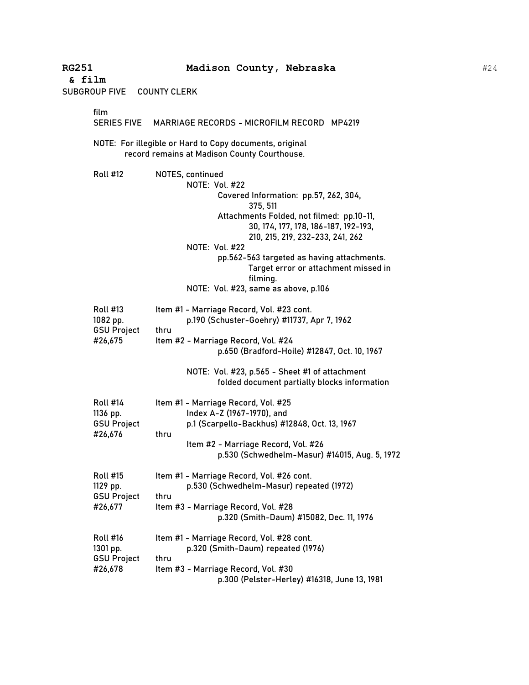**& film** SUBGROUP FIVE COUNTY CLERK film SERIES FIVE MARRIAGE RECORDS - MICROFILM RECORD MP4219 NOTE: For illegible or Hard to Copy documents, original record remains at Madison County Courthouse. Roll #12 NOTES, continued NOTE: Vol. #22 Covered Information: pp.57, 262, 304, 375, 511 Attachments Folded, not filmed: pp.10-11, 30, 174, 177, 178, 186-187, 192-193, 210, 215, 219, 232-233, 241, 262 NOTE: Vol. #22 pp.562-563 targeted as having attachments. Target error or attachment missed in filming. NOTE: Vol. #23, same as above, p.106 Roll #13 Item #1 - Marriage Record, Vol. #23 cont. 1082 pp. p.190 (Schuster-Goehry) #11737, Apr 7, 1962 GSU Project thru #26,675 Item #2 - Marriage Record, Vol. #24 p.650 (Bradford-Hoile) #12847, Oct. 10, 1967 NOTE: Vol. #23, p.565 - Sheet #1 of attachment folded document partially blocks information Roll #14 Item #1 - Marriage Record, Vol. #25 1136 pp. Index A-Z (1967-1970), and GSU Project p.1 (Scarpello-Backhus) #12848, Oct. 13, 1967 #26,676 thru Item #2 - Marriage Record, Vol. #26 p.530 (Schwedhelm-Masur) #14015, Aug. 5, 1972 Roll #15 Item #1 - Marriage Record, Vol. #26 cont. 1129 pp. p.530 (Schwedhelm-Masur) repeated (1972) GSU Project thru #26,677 Item #3 - Marriage Record, Vol. #28 p.320 (Smith-Daum) #15082, Dec. 11, 1976 Roll #16 Item #1 - Marriage Record, Vol. #28 cont. 1301 pp. p.320 (Smith-Daum) repeated (1976) GSU Project thru

#26,678 Item #3 - Marriage Record, Vol. #30

p.300 (Pelster-Herley) #16318, June 13, 1981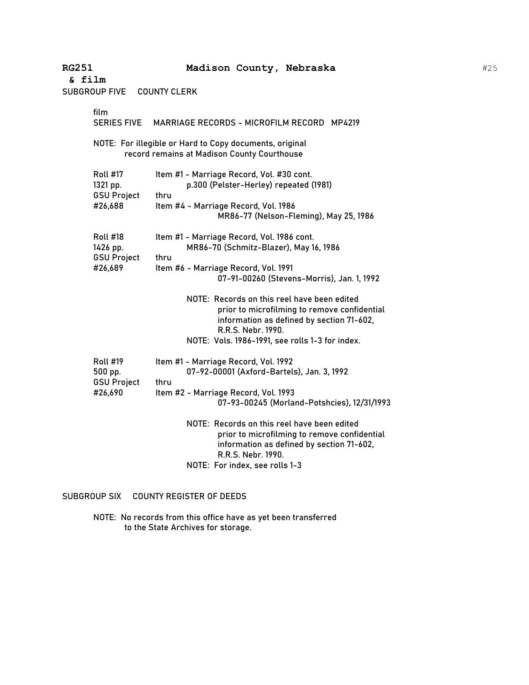| <b>SUBGROUP FIVE</b>                              | <b>COUNTY CLERK</b>                                                                                                                                            |
|---------------------------------------------------|----------------------------------------------------------------------------------------------------------------------------------------------------------------|
| film<br><b>SERIES FIVE</b>                        | MARRIAGE RECORDS - MICROFILM RECORD MP4219                                                                                                                     |
|                                                   | NOTE: For illegible or Hard to Copy documents, original<br>record remains at Madison County Courthouse                                                         |
| <b>Roll #17</b><br>1321 pp.<br><b>GSU Project</b> | Item #1 - Marriage Record, Vol. #30 cont.<br>p.300 (Pelster-Herley) repeated (1981)<br>thru                                                                    |
| #26,688                                           | Item #4 - Marriage Record, Vol. 1986<br>MR86-77 (Nelson-Fleming), May 25, 1986                                                                                 |
| <b>Roll #18</b><br>1426 pp.<br><b>GSU Project</b> | Item #1 - Marriage Record, Vol. 1986 cont.<br>MR86-70 (Schmitz-Blazer), May 16, 1986<br>thru                                                                   |
| #26,689                                           | Item #6 - Marriage Record, Vol. 1991<br>07-91-00260 (Stevens-Morris), Jan. 1, 1992                                                                             |
|                                                   | NOTE: Records on this reel have been edited<br>prior to microfilming to remove confidential<br>information as defined by section 71-602,<br>R.R.S. Nebr. 1990. |
|                                                   | NOTE: Vols. 1986-1991, see rolls 1-3 for index.                                                                                                                |
| <b>Roll #19</b><br>500 pp.<br><b>GSU Project</b>  | Item #1 - Marriage Record, Vol. 1992<br>07-92-00001 (Axford-Bartels), Jan. 3, 1992<br>thru                                                                     |
| #26,690                                           | Item #2 - Marriage Record, Vol. 1993<br>07-93-00245 (Morland-Potshcies), 12/31/1993                                                                            |
|                                                   | NOTE: Records on this reel have been edited<br>prior to microfilming to remove confidential<br>information as defined by section 71-602,<br>R.R.S. Nebr. 1990. |
|                                                   | NOTE: For index, see rolls 1-3                                                                                                                                 |

# SUBGROUP SIX COUNTY REGISTER OF DEEDS

NOTE: No records from this office have as yet been transferred to the State Archives for storage.

#25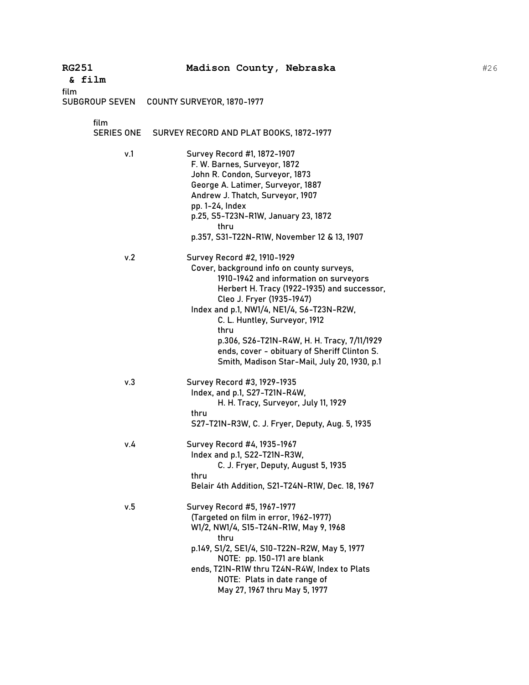| <b>RG251</b><br>& film        | Madison County, Nebraska                                                                                                                                                                                                                                                                                                                                                                                                            |
|-------------------------------|-------------------------------------------------------------------------------------------------------------------------------------------------------------------------------------------------------------------------------------------------------------------------------------------------------------------------------------------------------------------------------------------------------------------------------------|
| film<br><b>SUBGROUP SEVEN</b> | COUNTY SURVEYOR, 1870-1977                                                                                                                                                                                                                                                                                                                                                                                                          |
| film                          | SERIES ONE SURVEY RECORD AND PLAT BOOKS, 1872-1977                                                                                                                                                                                                                                                                                                                                                                                  |
| v.1                           | Survey Record #1, 1872-1907<br>F. W. Barnes, Surveyor, 1872<br>John R. Condon, Surveyor, 1873<br>George A. Latimer, Surveyor, 1887<br>Andrew J. Thatch, Surveyor, 1907<br>pp. 1-24, Index<br>p.25, S5-T23N-R1W, January 23, 1872<br>thru<br>p.357, S31-T22N-R1W, November 12 & 13, 1907                                                                                                                                             |
| v.2                           | Survey Record #2, 1910-1929<br>Cover, background info on county surveys,<br>1910-1942 and information on surveyors<br>Herbert H. Tracy (1922-1935) and successor,<br>Cleo J. Fryer (1935-1947)<br>Index and p.1, NW1/4, NE1/4, S6-T23N-R2W,<br>C. L. Huntley, Surveyor, 1912<br>thru<br>p.306, S26-T21N-R4W, H. H. Tracy, 7/11/1929<br>ends, cover - obituary of Sheriff Clinton S.<br>Smith, Madison Star-Mail, July 20, 1930, p.1 |
| v.3                           | Survey Record #3, 1929-1935<br>Index, and p.1, S27-T21N-R4W,<br>H. H. Tracy, Surveyor, July 11, 1929<br>thru<br>S27-T21N-R3W, C. J. Fryer, Deputy, Aug. 5, 1935                                                                                                                                                                                                                                                                     |
| v.4                           | Survey Record #4, 1935-1967<br>Index and p.1, S22-T21N-R3W,<br>C. J. Fryer, Deputy, August 5, 1935<br>thru<br>Belair 4th Addition, S21-T24N-R1W, Dec. 18, 1967                                                                                                                                                                                                                                                                      |
| v.5                           | Survey Record #5, 1967-1977<br>(Targeted on film in error, 1962-1977)<br>W1/2, NW1/4, S15-T24N-R1W, May 9, 1968<br>thru<br>p.149, S1/2, SE1/4, S10-T22N-R2W, May 5, 1977<br>NOTE: pp. 150-171 are blank<br>ends, T21N-R1W thru T24N-R4W, Index to Plats<br>NOTE: Plats in date range of<br>May 27, 1967 thru May 5, 1977                                                                                                            |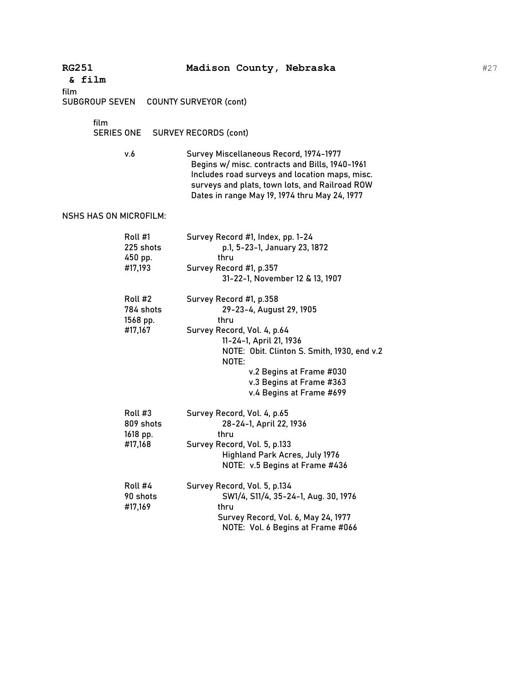| <b>RG251</b><br>& film |                                             | Madison County, Nebraska                                                                                                                                                                                                                                          |
|------------------------|---------------------------------------------|-------------------------------------------------------------------------------------------------------------------------------------------------------------------------------------------------------------------------------------------------------------------|
| film<br>SUBGROUP SEVEN |                                             | <b>COUNTY SURVEYOR (cont)</b>                                                                                                                                                                                                                                     |
| film<br>SERIES ONE     |                                             | <b>SURVEY RECORDS (cont)</b>                                                                                                                                                                                                                                      |
|                        | v.6                                         | Survey Miscellaneous Record, 1974-1977<br>Begins w/ misc. contracts and Bills, 1940-1961<br>Includes road surveys and location maps, misc.<br>surveys and plats, town lots, and Railroad ROW<br>Dates in range May 19, 1974 thru May 24, 1977                     |
| NSHS HAS ON MICROFILM: |                                             |                                                                                                                                                                                                                                                                   |
|                        | Roll #1<br>225 shots<br>450 pp.<br>#17,193  | Survey Record #1, Index, pp. 1-24<br>p.1, 5-23-1, January 23, 1872<br>thru<br>Survey Record #1, p.357<br>31-22-1, November 12 & 13, 1907                                                                                                                          |
|                        | Roll #2<br>784 shots<br>1568 pp.<br>#17,167 | Survey Record #1, p.358<br>29-23-4, August 29, 1905<br>thru<br>Survey Record, Vol. 4, p.64<br>11-24-1, April 21, 1936<br>NOTE: Obit. Clinton S. Smith, 1930, end v.2<br>NOTE:<br>v.2 Begins at Frame #030<br>v.3 Begins at Frame #363<br>v.4 Begins at Frame #699 |
|                        | Roll #3<br>809 shots<br>1618 pp.<br>#17,168 | Survey Record, Vol. 4, p.65<br>28-24-1, April 22, 1936<br>thru<br>Survey Record, Vol. 5, p.133<br>Highland Park Acres, July 1976<br>NOTE: v.5 Begins at Frame #436                                                                                                |
|                        | Roll #4<br>90 shots<br>#17,169              | Survey Record, Vol. 5, p.134<br>SW1/4, S11/4, 35-24-1, Aug. 30, 1976<br>thru<br>Survey Record, Vol. 6, May 24, 1977<br>NOTE: Vol. 6 Begins at Frame #066                                                                                                          |

#27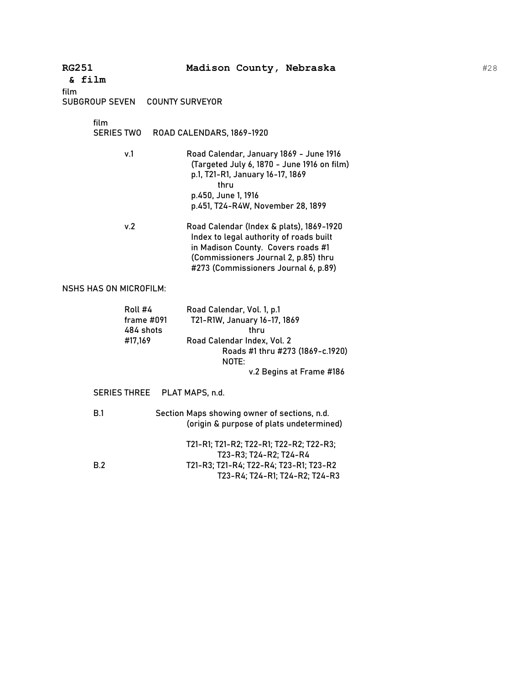| <b>RG251</b><br>& film<br>film                   | Madison County, Nebraska                                                                                                                                                                                  |
|--------------------------------------------------|-----------------------------------------------------------------------------------------------------------------------------------------------------------------------------------------------------------|
| <b>SUBGROUP SEVEN</b>                            | <b>COUNTY SURVEYOR</b>                                                                                                                                                                                    |
| film<br><b>SERIES TWO</b>                        | ROAD CALENDARS, 1869-1920                                                                                                                                                                                 |
| v.1                                              | Road Calendar, January 1869 - June 1916<br>(Targeted July 6, 1870 - June 1916 on film)<br>p.1, T21-R1, January 16-17, 1869<br>thru<br>p.450, June 1, 1916<br>p.451, T24-R4W, November 28, 1899            |
| v.2                                              | Road Calendar (Index & plats), 1869-1920<br>Index to legal authority of roads built<br>in Madison County. Covers roads #1<br>(Commissioners Journal 2, p.85) thru<br>#273 (Commissioners Journal 6, p.89) |
| <b>NSHS HAS ON MICROFILM:</b>                    |                                                                                                                                                                                                           |
| Roll #4<br>frame $\#091$<br>484 shots<br>#17,169 | Road Calendar, Vol. 1, p.1<br>T21-R1W, January 16-17, 1869<br>thru<br>Road Calendar Index, Vol. 2<br>Roads #1 thru #273 (1869-c.1920)<br>NOTE:<br>v.2 Begins at Frame #186                                |
| <b>SERIES THREE</b>                              | PLAT MAPS, n.d.                                                                                                                                                                                           |
| B.1                                              | Section Maps showing owner of sections, n.d.<br>(origin & purpose of plats undetermined)                                                                                                                  |
| B.2                                              | T21-R1; T21-R2; T22-R1; T22-R2; T22-R3;<br>T23-R3; T24-R2; T24-R4<br>T21-R3; T21-R4; T22-R4; T23-R1; T23-R2<br>T23-R4; T24-R1; T24-R2; T24-R3                                                             |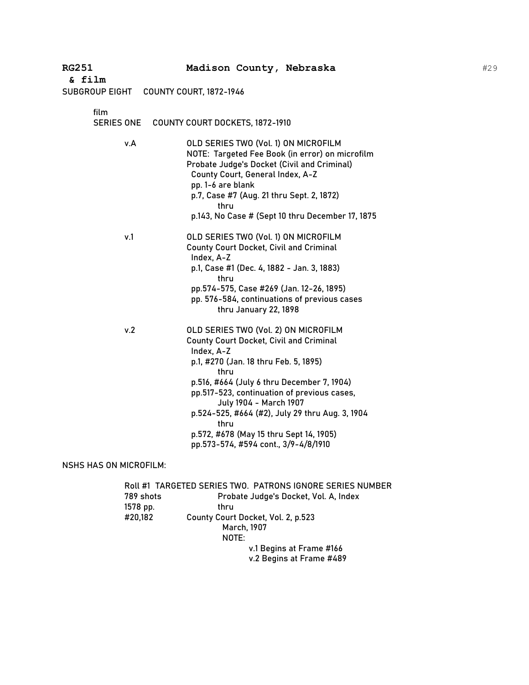| <b>RG251</b><br>& film | Madison County, Nebraska                                                                                                                                                                                                                                                                                                                                                                                                   |
|------------------------|----------------------------------------------------------------------------------------------------------------------------------------------------------------------------------------------------------------------------------------------------------------------------------------------------------------------------------------------------------------------------------------------------------------------------|
| SUBGROUP EIGHT         | <b>COUNTY COURT, 1872-1946</b>                                                                                                                                                                                                                                                                                                                                                                                             |
| film                   |                                                                                                                                                                                                                                                                                                                                                                                                                            |
| <b>SERIES ONE</b>      | COUNTY COURT DOCKETS, 1872-1910                                                                                                                                                                                                                                                                                                                                                                                            |
| v.A                    | OLD SERIES TWO (Vol. 1) ON MICROFILM<br>NOTE: Targeted Fee Book (in error) on microfilm<br>Probate Judge's Docket (Civil and Criminal)<br>County Court, General Index, A-Z<br>pp. 1-6 are blank<br>p.7, Case #7 (Aug. 21 thru Sept. 2, 1872)<br>thru<br>p.143, No Case # (Sept 10 thru December 17, 1875                                                                                                                   |
| v.1                    | OLD SERIES TWO (Vol. 1) ON MICROFILM<br><b>County Court Docket, Civil and Criminal</b><br>Index, A-Z<br>p.1, Case #1 (Dec. 4, 1882 - Jan. 3, 1883)<br>thru<br>pp.574-575, Case #269 (Jan. 12-26, 1895)<br>pp. 576-584, continuations of previous cases<br>thru January 22, 1898                                                                                                                                            |
| v.2                    | OLD SERIES TWO (Vol. 2) ON MICROFILM<br><b>County Court Docket, Civil and Criminal</b><br>Index, A-Z<br>p.1, #270 (Jan. 18 thru Feb. 5, 1895)<br>thru<br>p.516, #664 (July 6 thru December 7, 1904)<br>pp.517-523, continuation of previous cases,<br>July 1904 - March 1907<br>p.524-525, #664 (#2), July 29 thru Aug. 3, 1904<br>thru<br>p.572, #678 (May 15 thru Sept 14, 1905)<br>pp.573-574, #594 cont., 3/9-4/8/1910 |

#29

NSHS HAS ON MICROFILM:

|           | Roll #1 TARGETED SERIES TWO. PATRONS IGNORE SERIES NUMBER |
|-----------|-----------------------------------------------------------|
| 789 shots | Probate Judge's Docket, Vol. A, Index                     |
| 1578 pp.  | thru                                                      |
| #20,182   | County Court Docket, Vol. 2, p.523                        |
|           | March, 1907                                               |
|           | NOTE:                                                     |
|           | v.1 Begins at Frame #166                                  |
|           | v.2 Begins at Frame #489                                  |
|           |                                                           |

**RG251 Madison County, Nebraska**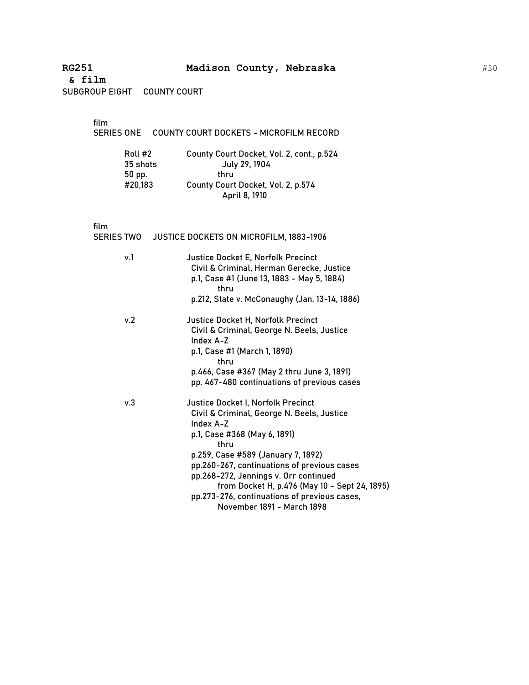SUBGROUP EIGHT COUNTY COURT

film

| SERIES ONE     COUNTY COURT DOCKETS - MICROFILM RECORD |
|--------------------------------------------------------|
|                                                        |

| Roll #2  | County Court Docket, Vol. 2, cont., p.524 |
|----------|-------------------------------------------|
| 35 shots | July 29, 1904                             |
| 50 pp.   | thru                                      |
| #20,183  | County Court Docket, Vol. 2, p.574        |
|          | April 8, 1910                             |

film<br>SER

|     | SERIES TWO JUSTICE DOCKETS ON MICROFILM, 1883-1906                                                                                                                                                                          |
|-----|-----------------------------------------------------------------------------------------------------------------------------------------------------------------------------------------------------------------------------|
| v.1 | Justice Docket E, Norfolk Precinct<br>Civil & Criminal, Herman Gerecke, Justice<br>p.1, Case #1 (June 13, 1883 - May 5, 1884)<br>thru                                                                                       |
|     | p.212, State v. McConaughy (Jan. 13-14, 1886)                                                                                                                                                                               |
| v.2 | <b>Justice Docket H, Norfolk Precinct</b><br>Civil & Criminal, George N. Beels, Justice<br>Index A-Z                                                                                                                        |
|     | p.1, Case #1 (March 1, 1890)<br>thru                                                                                                                                                                                        |
|     | p.466, Case #367 (May 2 thru June 3, 1891)<br>pp. 467-480 continuations of previous cases                                                                                                                                   |
| v.3 | Justice Docket I, Norfolk Precinct<br>Civil & Criminal, George N. Beels, Justice<br>Index A-Z<br>p.1, Case #368 (May 6, 1891)<br>thru                                                                                       |
|     | p.259, Case #589 (January 7, 1892)<br>pp.260-267, continuations of previous cases<br>pp.268-272, Jennings v. Orr continued<br>from Docket H, p.476 (May 10 - Sept 24, 1895)<br>pp.273-276, continuations of previous cases, |
|     | November 1891 - March 1898                                                                                                                                                                                                  |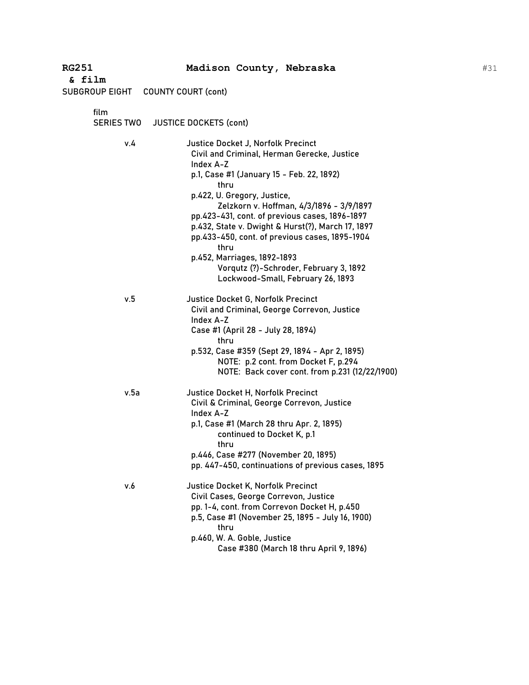| RG251<br>& film           | Madison County, Nebraska                                                                                                                                                                                                                                                                                                                                                                                                                                                                                      |
|---------------------------|---------------------------------------------------------------------------------------------------------------------------------------------------------------------------------------------------------------------------------------------------------------------------------------------------------------------------------------------------------------------------------------------------------------------------------------------------------------------------------------------------------------|
|                           | SUBGROUP EIGHT COUNTY COURT (cont)                                                                                                                                                                                                                                                                                                                                                                                                                                                                            |
| film<br><b>SERIES TWO</b> | <b>JUSTICE DOCKETS (cont)</b>                                                                                                                                                                                                                                                                                                                                                                                                                                                                                 |
| v.4                       | Justice Docket J, Norfolk Precinct<br>Civil and Criminal, Herman Gerecke, Justice<br>Index A-Z<br>p.1, Case #1 (January 15 - Feb. 22, 1892)<br>thru<br>p.422, U. Gregory, Justice,<br>Zelzkorn v. Hoffman, 4/3/1896 - 3/9/1897<br>pp.423-431, cont. of previous cases, 1896-1897<br>p.432, State v. Dwight & Hurst(?), March 17, 1897<br>pp.433-450, cont. of previous cases, 1895-1904<br>thru<br>p.452, Marriages, 1892-1893<br>Vorqutz (?)-Schroder, February 3, 1892<br>Lockwood-Small, February 26, 1893 |
| v.5                       | Justice Docket G, Norfolk Precinct<br>Civil and Criminal, George Correvon, Justice<br>Index A-Z<br>Case #1 (April 28 - July 28, 1894)<br>thru<br>p.532, Case #359 (Sept 29, 1894 - Apr 2, 1895)<br>NOTE: p.2 cont. from Docket F, p.294<br>NOTE: Back cover cont. from p.231 (12/22/1900)                                                                                                                                                                                                                     |
| v.5a                      | Justice Docket H, Norfolk Precinct<br>Civil & Criminal, George Correvon, Justice<br>Index A-Z<br>p.1, Case #1 (March 28 thru Apr. 2, 1895)<br>continued to Docket K, p.1<br>thru<br>p.446, Case #277 (November 20, 1895)<br>pp. 447-450, continuations of previous cases, 1895                                                                                                                                                                                                                                |
| v.6                       | Justice Docket K, Norfolk Precinct<br>Civil Cases, George Correvon, Justice<br>pp. 1-4, cont. from Correvon Docket H, p.450<br>p.5, Case #1 (November 25, 1895 - July 16, 1900)<br>thru<br>p.460, W. A. Goble, Justice<br>Case #380 (March 18 thru April 9, 1896)                                                                                                                                                                                                                                             |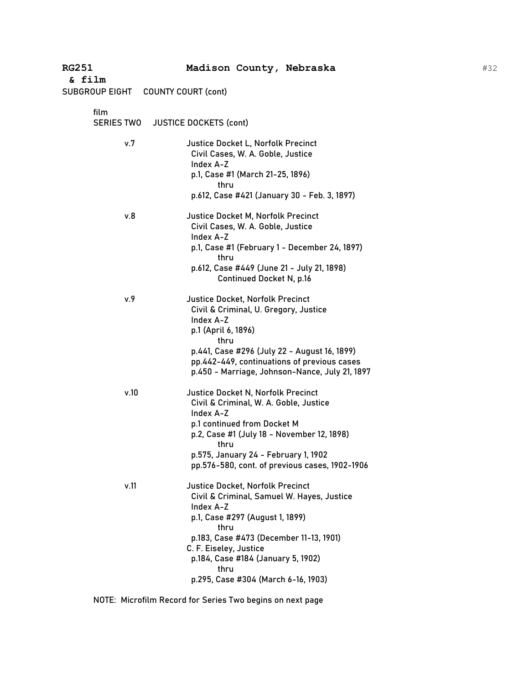| <b>RG251</b><br>& film    | Madison County, Nebraska                                                                                                                                                                                                                                                                                |
|---------------------------|---------------------------------------------------------------------------------------------------------------------------------------------------------------------------------------------------------------------------------------------------------------------------------------------------------|
| SUBGROUP EIGHT            | <b>COUNTY COURT (cont)</b>                                                                                                                                                                                                                                                                              |
| film<br><b>SERIES TWO</b> | <b>JUSTICE DOCKETS (cont)</b>                                                                                                                                                                                                                                                                           |
| v.7                       | Justice Docket L, Norfolk Precinct<br>Civil Cases, W. A. Goble, Justice<br>Index A-Z<br>p.1, Case #1 (March 21-25, 1896)<br>thru<br>p.612, Case #421 (January 30 - Feb. 3, 1897)                                                                                                                        |
| v.8                       | <b>Justice Docket M, Norfolk Precinct</b><br>Civil Cases, W. A. Goble, Justice<br>Index A-Z<br>p.1, Case #1 (February 1 - December 24, 1897)<br>thru<br>p.612, Case #449 (June 21 - July 21, 1898)<br><b>Continued Docket N, p.16</b>                                                                   |
| v.9                       | <b>Justice Docket, Norfolk Precinct</b><br>Civil & Criminal, U. Gregory, Justice<br>Index A-Z<br>p.1 (April 6, 1896)<br>thru<br>p.441, Case #296 (July 22 - August 16, 1899)<br>pp.442-449, continuations of previous cases<br>p.450 - Marriage, Johnson-Nance, July 21, 1897                           |
| v.10                      | <b>Justice Docket N, Norfolk Precinct</b><br>Civil & Criminal, W. A. Goble, Justice<br>Index A-Z<br>p.1 continued from Docket M<br>p.2, Case #1 (July 18 - November 12, 1898)<br>thru<br>p.575, January 24 - February 1, 1902<br>pp.576-580, cont. of previous cases, 1902-1906                         |
| v.11                      | <b>Justice Docket, Norfolk Precinct</b><br>Civil & Criminal, Samuel W. Hayes, Justice<br>Index A-Z<br>p.1, Case #297 (August 1, 1899)<br>thru<br>p.183, Case #473 (December 11-13, 1901)<br>C. F. Eiseley, Justice<br>p.184, Case #184 (January 5, 1902)<br>thru<br>p.295, Case #304 (March 6-16, 1903) |

NOTE: Microfilm Record for Series Two begins on next page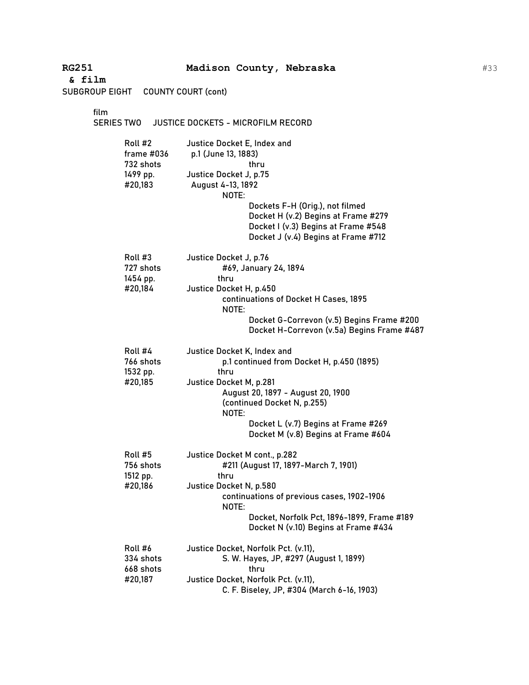| <b>RG251</b><br>& film<br>SUBGROUP EIGHT                  | Madison County, Nebraska<br><b>COUNTY COURT (cont)</b>                                                                                                                                                                                                                     |
|-----------------------------------------------------------|----------------------------------------------------------------------------------------------------------------------------------------------------------------------------------------------------------------------------------------------------------------------------|
| film<br><b>SERIES TWO</b>                                 | JUSTICE DOCKETS - MICROFILM RECORD                                                                                                                                                                                                                                         |
| Roll #2<br>frame #036<br>732 shots<br>1499 pp.<br>#20,183 | Justice Docket E, Index and<br>p.1 (June 13, 1883)<br>thru<br>Justice Docket J, p.75<br>August 4-13, 1892<br>NOTE:<br>Dockets F-H (Orig.), not filmed<br>Docket H (v.2) Begins at Frame #279<br>Docket I (v.3) Begins at Frame #548<br>Docket J (v.4) Begins at Frame #712 |
| Roll #3<br>727 shots<br>1454 pp.<br>#20,184               | Justice Docket J, p.76<br>#69, January 24, 1894<br>thru<br>Justice Docket H, p.450<br>continuations of Docket H Cases, 1895<br>NOTE:<br>Docket G-Correvon (v.5) Begins Frame #200<br>Docket H-Correvon (v.5a) Begins Frame #487                                            |
| Roll #4<br>766 shots<br>1532 pp.<br>#20,185               | Justice Docket K, Index and<br>p.1 continued from Docket H, p.450 (1895)<br>thru<br>Justice Docket M, p.281<br>August 20, 1897 - August 20, 1900<br>(continued Docket N, p.255)<br>NOTE:<br>Docket L (v.7) Begins at Frame #269<br>Docket M (v.8) Begins at Frame #604     |
| Roll #5<br>756 shots<br>1512 pp.<br>#20,186               | Justice Docket M cont., p.282<br>#211 (August 17, 1897-March 7, 1901)<br>thru<br>Justice Docket N, p.580<br>continuations of previous cases, 1902-1906<br>NOTE:<br>Docket, Norfolk Pct, 1896-1899, Frame #189<br>Docket N (v.10) Begins at Frame #434                      |
| Roll #6<br>334 shots<br>668 shots<br>#20,187              | Justice Docket, Norfolk Pct. (v.11),<br>S. W. Hayes, JP, #297 (August 1, 1899)<br>thru<br>Justice Docket, Norfolk Pct. (v.11),<br>C. F. Biseley, JP, #304 (March 6-16, 1903)                                                                                               |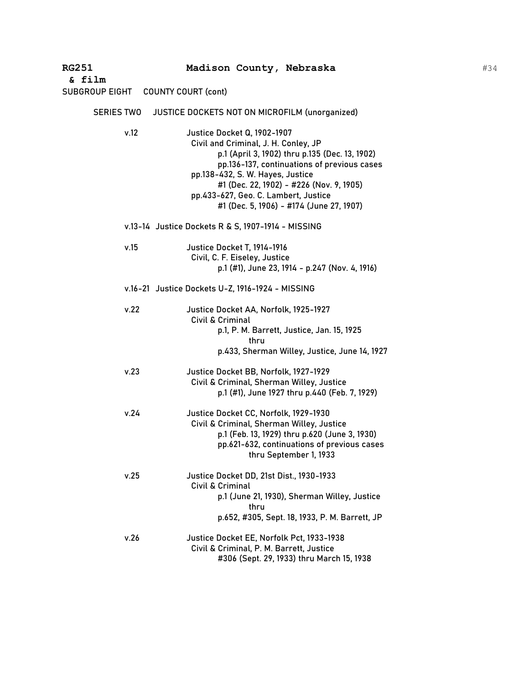| <b>RG251</b><br>& film | Madison County, Nebraska                                                                                                                                                                                                                                                                                                                        |
|------------------------|-------------------------------------------------------------------------------------------------------------------------------------------------------------------------------------------------------------------------------------------------------------------------------------------------------------------------------------------------|
| SUBGROUP EIGHT         | <b>COUNTY COURT (cont)</b>                                                                                                                                                                                                                                                                                                                      |
| <b>SERIES TWO</b>      | JUSTICE DOCKETS NOT ON MICROFILM (unorganized)                                                                                                                                                                                                                                                                                                  |
| v.12                   | <b>Justice Docket Q, 1902-1907</b><br>Civil and Criminal, J. H. Conley, JP<br>p.1 (April 3, 1902) thru p.135 (Dec. 13, 1902)<br>pp.136-137, continuations of previous cases<br>pp.138-432, S. W. Hayes, Justice<br>#1 (Dec. 22, 1902) - #226 (Nov. 9, 1905)<br>pp.433-627, Geo. C. Lambert, Justice<br>#1 (Dec. 5, 1906) - #174 (June 27, 1907) |
|                        | v.13-14 Justice Dockets R & S, 1907-1914 - MISSING                                                                                                                                                                                                                                                                                              |
| v.15                   | Justice Docket T, 1914-1916<br>Civil, C. F. Eiseley, Justice<br>p.1 (#1), June 23, 1914 - p.247 (Nov. 4, 1916)                                                                                                                                                                                                                                  |
|                        | v.16-21 Justice Dockets U-Z, 1916-1924 - MISSING                                                                                                                                                                                                                                                                                                |
| v.22                   | Justice Docket AA, Norfolk, 1925-1927<br>Civil & Criminal<br>p.1, P. M. Barrett, Justice, Jan. 15, 1925<br>thru<br>p.433, Sherman Willey, Justice, June 14, 1927                                                                                                                                                                                |
| v.23                   | Justice Docket BB, Norfolk, 1927-1929<br>Civil & Criminal, Sherman Willey, Justice<br>p.1 (#1), June 1927 thru p.440 (Feb. 7, 1929)                                                                                                                                                                                                             |
| v.24                   | Justice Docket CC, Norfolk, 1929-1930<br>Civil & Criminal, Sherman Willey, Justice<br>p.1 (Feb. 13, 1929) thru p.620 (June 3, 1930)<br>pp.621-632, continuations of previous cases<br>thru September 1, 1933                                                                                                                                    |
| v.25                   | Justice Docket DD, 21st Dist., 1930-1933<br>Civil & Criminal<br>p.1 (June 21, 1930), Sherman Willey, Justice<br>thru<br>p.652, #305, Sept. 18, 1933, P. M. Barrett, JP                                                                                                                                                                          |
| v.26                   | Justice Docket EE, Norfolk Pct, 1933-1938<br>Civil & Criminal, P. M. Barrett, Justice<br>#306 (Sept. 29, 1933) thru March 15, 1938                                                                                                                                                                                                              |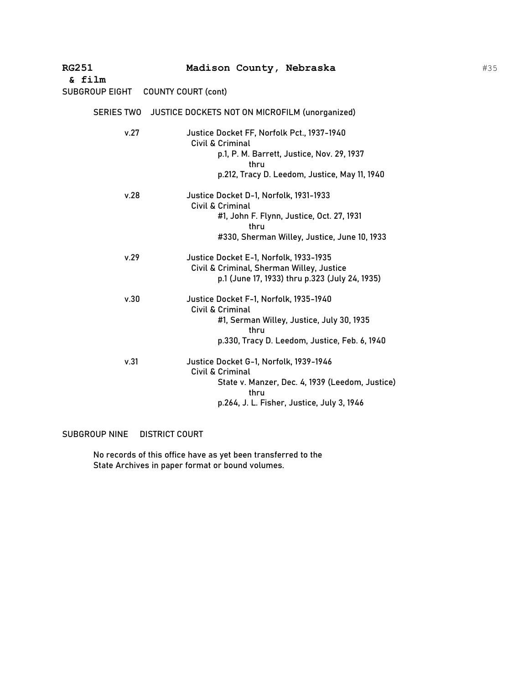| <b>RG251</b>          | Madison County, Nebraska                                                                    |
|-----------------------|---------------------------------------------------------------------------------------------|
| & film                |                                                                                             |
| <b>SUBGROUP EIGHT</b> | <b>COUNTY COURT (cont)</b>                                                                  |
| <b>SERIES TWO</b>     | <b>JUSTICE DOCKETS NOT ON MICROFILM (unorganized)</b>                                       |
| v.27                  | Justice Docket FF, Norfolk Pct., 1937-1940<br>Civil & Criminal                              |
|                       | p.1, P. M. Barrett, Justice, Nov. 29, 1937<br>thru                                          |
|                       | p.212, Tracy D. Leedom, Justice, May 11, 1940                                               |
| v.28                  | Justice Docket D-1, Norfolk, 1931-1933<br>Civil & Criminal                                  |
|                       | #1, John F. Flynn, Justice, Oct. 27, 1931<br>thru                                           |
|                       | #330, Sherman Willey, Justice, June 10, 1933                                                |
| v.29                  | Justice Docket E-1, Norfolk, 1933-1935                                                      |
|                       | Civil & Criminal, Sherman Willey, Justice<br>p.1 (June 17, 1933) thru p.323 (July 24, 1935) |
| v.30                  | Justice Docket F-1, Norfolk, 1935-1940                                                      |
|                       | Civil & Criminal                                                                            |
|                       | #1, Serman Willey, Justice, July 30, 1935<br>thru                                           |
|                       | p.330, Tracy D. Leedom, Justice, Feb. 6, 1940                                               |
| v.31                  | Justice Docket G-1, Norfolk, 1939-1946<br>Civil & Criminal                                  |
|                       | State v. Manzer, Dec. 4, 1939 (Leedom, Justice)<br>thru                                     |
|                       | p.264, J. L. Fisher, Justice, July 3, 1946                                                  |

SUBGROUP NINE DISTRICT COURT

No records of this office have as yet been transferred to the State Archives in paper format or bound volumes.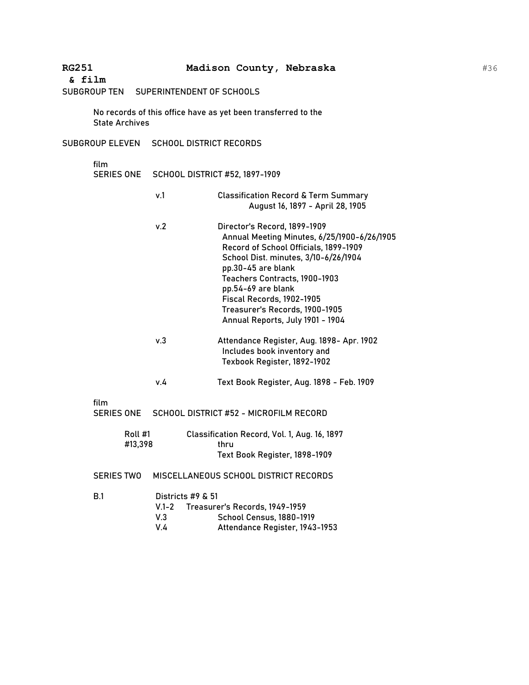SUBGROUP TEN SUPERINTENDENT OF SCHOOLS

No records of this office have as yet been transferred to the State Archives

SUBGROUP ELEVEN SCHOOL DISTRICT RECORDS

film SERIES ONE SCHOOL DISTRICT #52, 1897-1909

- v.1 Classification Record & Term Summary August 16, 1897 - April 28, 1905
- v.2 Director's Record, 1899-1909 Annual Meeting Minutes, 6/25/1900-6/26/1905 Record of School Officials, 1899-1909 School Dist. minutes, 3/10-6/26/1904 pp.30-45 are blank Teachers Contracts, 1900-1903 pp.54-69 are blank Fiscal Records, 1902-1905 Treasurer's Records, 1900-1905 Annual Reports, July 1901 - 1904
- v.3 Attendance Register, Aug. 1898- Apr. 1902 Includes book inventory and Texbook Register, 1892-1902
- v.4 Text Book Register, Aug. 1898 Feb. 1909

film

SERIES ONE SCHOOL DISTRICT #52 - MICROFILM RECORD

| Roll #1 | Classification Record, Vol. 1, Aug. 16, 1897 |
|---------|----------------------------------------------|
| #13.398 | thru                                         |
|         | Text Book Register, 1898-1909                |

SERIES TWO MISCELLANEOUS SCHOOL DISTRICT RECORDS

| B.1 |     | Districts $#9 \& 51$                 |  |  |
|-----|-----|--------------------------------------|--|--|
|     |     | V.1-2 Treasurer's Records, 1949-1959 |  |  |
|     | V 3 | <b>School Census, 1880-1919</b>      |  |  |
|     | V 4 | Attendance Register, 1943-1953       |  |  |